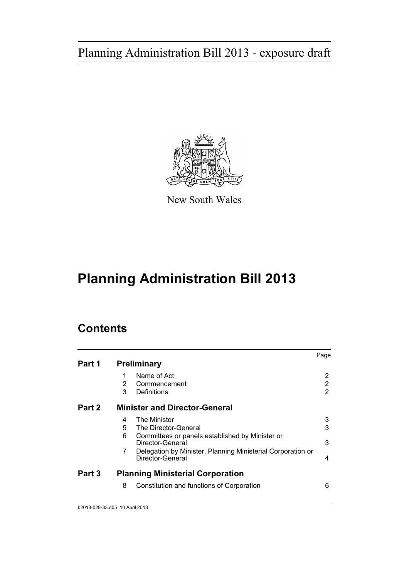

New South Wales

# **Planning Administration Bill 2013**

# **Contents**

|        |   |                                                                                 | Page |
|--------|---|---------------------------------------------------------------------------------|------|
| Part 1 |   | <b>Preliminary</b>                                                              |      |
|        | 1 | Name of Act                                                                     | 2    |
|        | 2 | Commencement                                                                    | 2    |
|        | 3 | Definitions                                                                     | 2    |
| Part 2 |   | <b>Minister and Director-General</b>                                            |      |
|        | 4 | <b>The Minister</b>                                                             | 3    |
|        | 5 | The Director-General                                                            | 3    |
|        | 6 | Committees or panels established by Minister or<br>Director-General             | 3    |
|        | 7 | Delegation by Minister, Planning Ministerial Corporation or<br>Director-General | 4    |
| Part 3 |   | <b>Planning Ministerial Corporation</b>                                         |      |
|        | 8 | Constitution and functions of Corporation                                       | 6    |
|        |   |                                                                                 |      |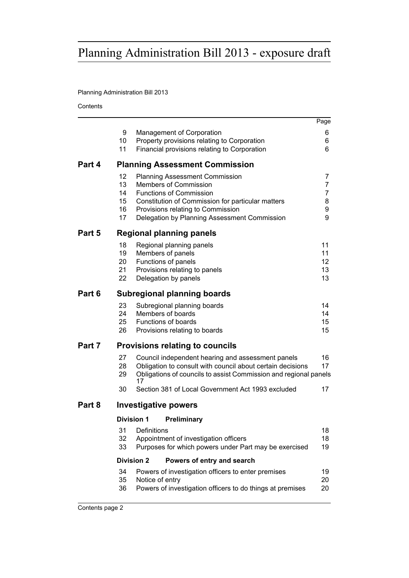# Planning Administration Bill 2013

**Contents** 

|                                       |                                  |                                                                                                                                                                                                                                            | Page                       |
|---------------------------------------|----------------------------------|--------------------------------------------------------------------------------------------------------------------------------------------------------------------------------------------------------------------------------------------|----------------------------|
|                                       | 9<br>10<br>11                    | Management of Corporation<br>Property provisions relating to Corporation<br>Financial provisions relating to Corporation                                                                                                                   | 6<br>6<br>6                |
| Part 4                                |                                  | <b>Planning Assessment Commission</b>                                                                                                                                                                                                      |                            |
|                                       | 12<br>13<br>14<br>15<br>16<br>17 | <b>Planning Assessment Commission</b><br>Members of Commission<br><b>Functions of Commission</b><br>Constitution of Commission for particular matters<br>Provisions relating to Commission<br>Delegation by Planning Assessment Commission | 7<br>7<br>7<br>8<br>9<br>9 |
| Part 5                                |                                  | <b>Regional planning panels</b>                                                                                                                                                                                                            |                            |
|                                       | 18<br>19<br>20<br>21<br>22       | Regional planning panels<br>Members of panels<br>Functions of panels<br>Provisions relating to panels<br>Delegation by panels                                                                                                              | 11<br>11<br>12<br>13<br>13 |
| Part 6<br>Subregional planning boards |                                  |                                                                                                                                                                                                                                            |                            |
|                                       | 23<br>24<br>25<br>26             | Subregional planning boards<br>Members of boards<br><b>Functions of boards</b><br>Provisions relating to boards                                                                                                                            | 14<br>14<br>15<br>15       |
| Part 7                                |                                  | <b>Provisions relating to councils</b>                                                                                                                                                                                                     |                            |
|                                       | 27<br>28<br>29                   | Council independent hearing and assessment panels<br>Obligation to consult with council about certain decisions<br>Obligations of councils to assist Commission and regional panels<br>17                                                  | 16<br>17                   |
|                                       | 30                               | Section 381 of Local Government Act 1993 excluded                                                                                                                                                                                          | 17                         |
| Part 8                                |                                  | Investigative powers                                                                                                                                                                                                                       |                            |
|                                       |                                  | <b>Division 1</b><br>Preliminary                                                                                                                                                                                                           |                            |
|                                       | 31<br>32<br>33                   | Definitions<br>Appointment of investigation officers<br>Purposes for which powers under Part may be exercised                                                                                                                              | 18<br>18<br>19             |
|                                       |                                  | <b>Division 2</b><br>Powers of entry and search                                                                                                                                                                                            |                            |
|                                       | 34<br>35<br>36                   | Powers of investigation officers to enter premises<br>Notice of entry<br>Powers of investigation officers to do things at premises                                                                                                         | 19<br>20<br>20             |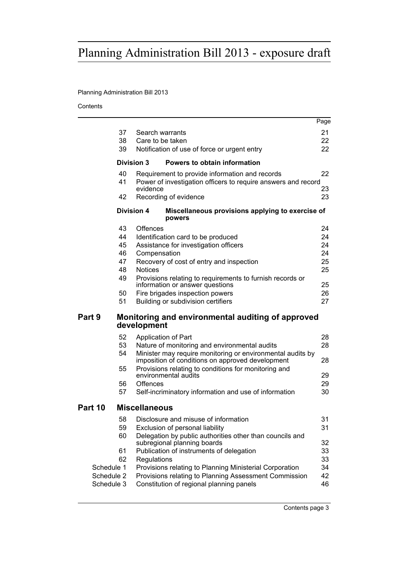# Planning Administration Bill 2013

**Contents** 

|         |            |                                                                                                                | Page |
|---------|------------|----------------------------------------------------------------------------------------------------------------|------|
|         | 37         | Search warrants                                                                                                | 21   |
|         | 38         | Care to be taken                                                                                               | 22   |
|         | 39         | Notification of use of force or urgent entry                                                                   | 22   |
|         |            |                                                                                                                |      |
|         |            | Division 3<br>Powers to obtain information                                                                     |      |
|         | 40         | Requirement to provide information and records                                                                 | 22   |
|         | 41         | Power of investigation officers to require answers and record                                                  |      |
|         |            | evidence                                                                                                       | 23   |
|         | 42         | Recording of evidence                                                                                          | 23   |
|         |            | <b>Division 4</b><br>Miscellaneous provisions applying to exercise of<br>powers                                |      |
|         | 43         | Offences                                                                                                       | 24   |
|         | 44         | Identification card to be produced                                                                             | 24   |
|         | 45         | Assistance for investigation officers                                                                          | 24   |
|         | 46         | Compensation                                                                                                   | 24   |
|         | 47         | Recovery of cost of entry and inspection                                                                       | 25   |
|         | 48         | <b>Notices</b>                                                                                                 | 25   |
|         | 49         | Provisions relating to requirements to furnish records or<br>information or answer questions                   | 25   |
|         | 50         | Fire brigades inspection powers                                                                                | 26   |
|         | 51         | Building or subdivision certifiers                                                                             | 27   |
| Part 9  |            | Monitoring and environmental auditing of approved<br>development                                               |      |
|         | 52         | Application of Part                                                                                            | 28   |
|         | 53         | Nature of monitoring and environmental audits                                                                  | 28   |
|         | 54         | Minister may require monitoring or environmental audits by<br>imposition of conditions on approved development | 28   |
|         | 55         | Provisions relating to conditions for monitoring and<br>environmental audits                                   | 29   |
|         | 56         | Offences                                                                                                       | 29   |
|         | 57         | Self-incriminatory information and use of information                                                          | 30   |
| Part 10 |            | <b>Miscellaneous</b>                                                                                           |      |
|         | 58         | Disclosure and misuse of information                                                                           | 31   |
|         | 59         | Exclusion of personal liability                                                                                | 31   |
|         | 60         | Delegation by public authorities other than councils and                                                       |      |
|         |            | subregional planning boards                                                                                    | 32   |
|         | 61         | Publication of instruments of delegation                                                                       | 33   |
|         | 62         | Regulations                                                                                                    | 33   |
|         | Schedule 1 | Provisions relating to Planning Ministerial Corporation                                                        | 34   |
|         | Schedule 2 | Provisions relating to Planning Assessment Commission                                                          | 42   |
|         | Schedule 3 | Constitution of regional planning panels                                                                       | 46   |
|         |            |                                                                                                                |      |

Contents page 3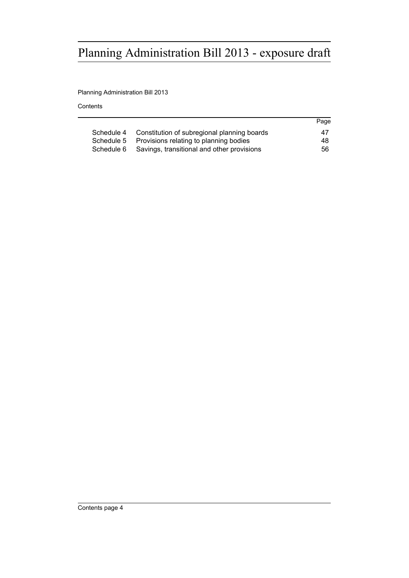Planning Administration Bill 2013

**Contents** 

|                                                           | Page |
|-----------------------------------------------------------|------|
| Constitution of subregional planning boards<br>Schedule 4 | 47   |
| Provisions relating to planning bodies<br>Schedule 5      | 48.  |
| Schedule 6 Savings, transitional and other provisions     | 56   |
|                                                           |      |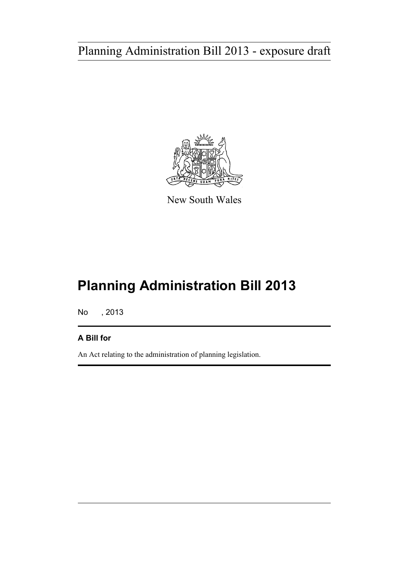

New South Wales

# **Planning Administration Bill 2013**

No , 2013

# **A Bill for**

An Act relating to the administration of planning legislation.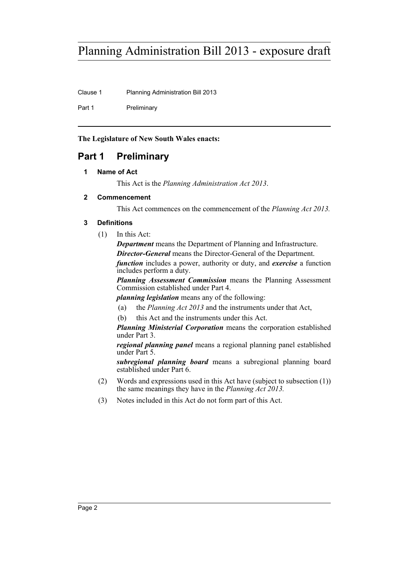Clause 1 Planning Administration Bill 2013

Part 1 Preliminary

**The Legislature of New South Wales enacts:**

# <span id="page-5-1"></span><span id="page-5-0"></span>**Part 1 Preliminary**

# **1 Name of Act**

This Act is the *Planning Administration Act 2013*.

# <span id="page-5-2"></span>**2 Commencement**

This Act commences on the commencement of the *Planning Act 2013.*

# <span id="page-5-3"></span>**3 Definitions**

(1) In this Act:

*Department* means the Department of Planning and Infrastructure. *Director-General* means the Director-General of the Department.

*function* includes a power, authority or duty, and *exercise* a function includes perform a duty.

*Planning Assessment Commission* means the Planning Assessment Commission established under Part 4.

*planning legislation* means any of the following:

- (a) the *Planning Act 2013* and the instruments under that Act,
- (b) this Act and the instruments under this Act.

*Planning Ministerial Corporation* means the corporation established under Part 3.

*regional planning panel* means a regional planning panel established under Part 5.

*subregional planning board* means a subregional planning board established under Part 6.

- (2) Words and expressions used in this Act have (subject to subsection (1)) the same meanings they have in the *Planning Act 2013.*
- (3) Notes included in this Act do not form part of this Act.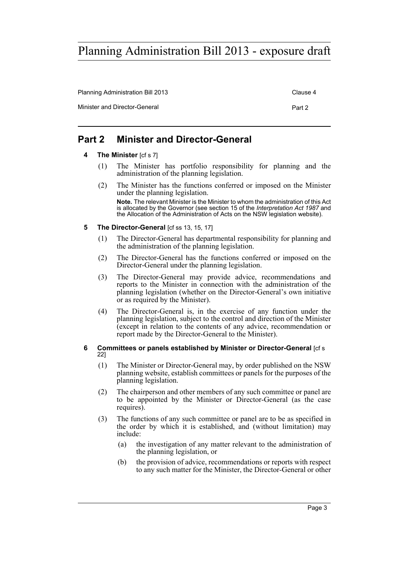Planning Administration Bill 2013 Clause 4

Minister and Director-General **Part 2** Part 2

# <span id="page-6-1"></span><span id="page-6-0"></span>**Part 2 Minister and Director-General**

- **4 The Minister** [cf s 7]
	- (1) The Minister has portfolio responsibility for planning and the administration of the planning legislation.
	- (2) The Minister has the functions conferred or imposed on the Minister under the planning legislation.

**Note.** The relevant Minister is the Minister to whom the administration of this Act is allocated by the Governor (see section 15 of the *Interpretation Act 1987* and the Allocation of the Administration of Acts on the NSW legislation website).

### <span id="page-6-2"></span>**5** The Director-General [cf ss 13, 15, 17]

- (1) The Director-General has departmental responsibility for planning and the administration of the planning legislation.
- (2) The Director-General has the functions conferred or imposed on the Director-General under the planning legislation.
- (3) The Director-General may provide advice, recommendations and reports to the Minister in connection with the administration of the planning legislation (whether on the Director-General's own initiative or as required by the Minister).
- (4) The Director-General is, in the exercise of any function under the planning legislation, subject to the control and direction of the Minister (except in relation to the contents of any advice, recommendation or report made by the Director-General to the Minister).

### <span id="page-6-3"></span>**6 Committees or panels established by Minister or Director-General** [cf s 22]

- (1) The Minister or Director-General may, by order published on the NSW planning website, establish committees or panels for the purposes of the planning legislation.
- (2) The chairperson and other members of any such committee or panel are to be appointed by the Minister or Director-General (as the case requires).
- (3) The functions of any such committee or panel are to be as specified in the order by which it is established, and (without limitation) may include:
	- (a) the investigation of any matter relevant to the administration of the planning legislation, or
	- (b) the provision of advice, recommendations or reports with respect to any such matter for the Minister, the Director-General or other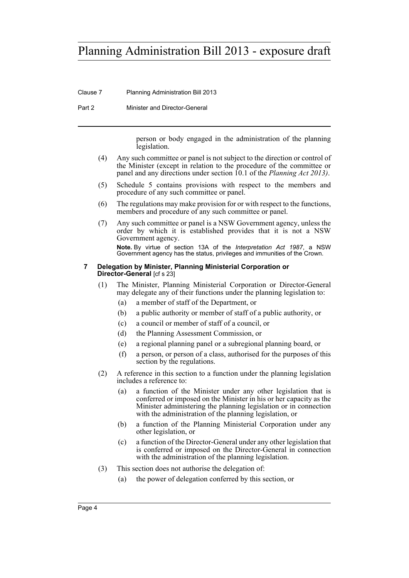Clause 7 Planning Administration Bill 2013

Part 2 Minister and Director-General

person or body engaged in the administration of the planning legislation.

- (4) Any such committee or panel is not subject to the direction or control of the Minister (except in relation to the procedure of the committee or panel and any directions under section 10.1 of the *Planning Act 2013)*.
- (5) Schedule 5 contains provisions with respect to the members and procedure of any such committee or panel.
- (6) The regulations may make provision for or with respect to the functions, members and procedure of any such committee or panel.
- (7) Any such committee or panel is a NSW Government agency, unless the order by which it is established provides that it is not a NSW Government agency. **Note.** By virtue of section 13A of the *Interpretation Act 1987*, a NSW Government agency has the status, privileges and immunities of the Crown.

### <span id="page-7-0"></span>**7 Delegation by Minister, Planning Ministerial Corporation or Director-General** [cf s 23]

- (1) The Minister, Planning Ministerial Corporation or Director-General may delegate any of their functions under the planning legislation to:
	- (a) a member of staff of the Department, or
	- (b) a public authority or member of staff of a public authority, or
	- (c) a council or member of staff of a council, or
	- (d) the Planning Assessment Commission, or
	- (e) a regional planning panel or a subregional planning board, or
	- (f) a person, or person of a class, authorised for the purposes of this section by the regulations.
- (2) A reference in this section to a function under the planning legislation includes a reference to:
	- (a) a function of the Minister under any other legislation that is conferred or imposed on the Minister in his or her capacity as the Minister administering the planning legislation or in connection with the administration of the planning legislation, or
	- (b) a function of the Planning Ministerial Corporation under any other legislation, or
	- (c) a function of the Director-General under any other legislation that is conferred or imposed on the Director-General in connection with the administration of the planning legislation.
- (3) This section does not authorise the delegation of:
	- (a) the power of delegation conferred by this section, or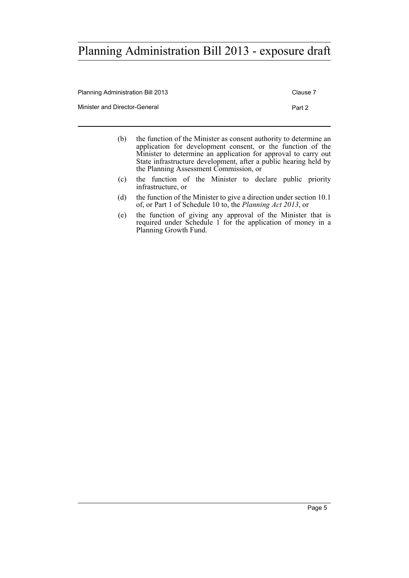| Planning Administration Bill 2013 | Clause 7 |
|-----------------------------------|----------|
| Minister and Director-General     | Part 2   |
|                                   |          |

- (b) the function of the Minister as consent authority to determine an application for development consent, or the function of the Minister to determine an application for approval to carry out State infrastructure development, after a public hearing held by the Planning Assessment Commission, or
- (c) the function of the Minister to declare public priority infrastructure, or
- (d) the function of the Minister to give a direction under section 10.1 of, or Part 1 of Schedule 10 to, the *Planning Act 2013*, or
- (e) the function of giving any approval of the Minister that is required under Schedule 1 for the application of money in a Planning Growth Fund.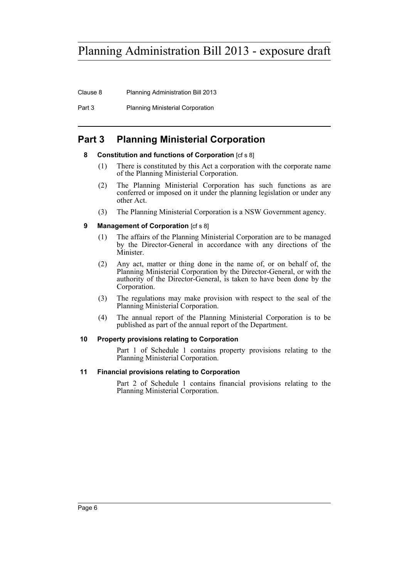Clause 8 Planning Administration Bill 2013

Part 3 Planning Ministerial Corporation

# <span id="page-9-1"></span><span id="page-9-0"></span>**Part 3 Planning Ministerial Corporation**

# **8 Constitution and functions of Corporation** [cf s 8]

- (1) There is constituted by this Act a corporation with the corporate name of the Planning Ministerial Corporation.
- (2) The Planning Ministerial Corporation has such functions as are conferred or imposed on it under the planning legislation or under any other Act.
- (3) The Planning Ministerial Corporation is a NSW Government agency.

# <span id="page-9-2"></span>**9 Management of Corporation** [cf s 8]

- (1) The affairs of the Planning Ministerial Corporation are to be managed by the Director-General in accordance with any directions of the Minister.
- (2) Any act, matter or thing done in the name of, or on behalf of, the Planning Ministerial Corporation by the Director-General, or with the authority of the Director-General, is taken to have been done by the Corporation.
- (3) The regulations may make provision with respect to the seal of the Planning Ministerial Corporation.
- (4) The annual report of the Planning Ministerial Corporation is to be published as part of the annual report of the Department.

## <span id="page-9-3"></span>**10 Property provisions relating to Corporation**

Part 1 of Schedule 1 contains property provisions relating to the Planning Ministerial Corporation.

## <span id="page-9-4"></span>**11 Financial provisions relating to Corporation**

Part 2 of Schedule 1 contains financial provisions relating to the Planning Ministerial Corporation.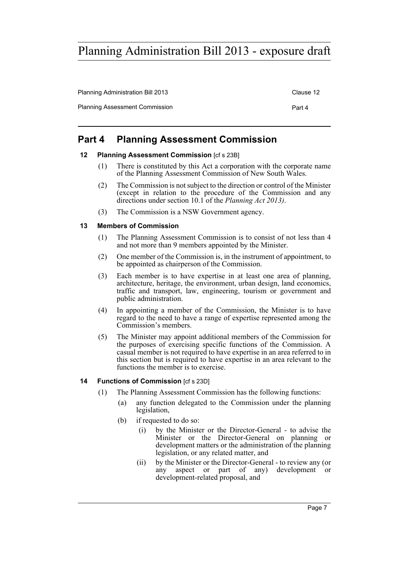Planning Administration Bill 2013 Clause 12 Planning Assessment Commission **Part 4** Part 4

# <span id="page-10-0"></span>**Part 4 Planning Assessment Commission**

### <span id="page-10-1"></span>**12 Planning Assessment Commission** [cf s 23B]

- (1) There is constituted by this Act a corporation with the corporate name of the Planning Assessment Commission of New South Wales.
- (2) The Commission is not subject to the direction or control of the Minister (except in relation to the procedure of the Commission and any directions under section 10.1 of the *Planning Act 2013)*.
- (3) The Commission is a NSW Government agency.

### <span id="page-10-2"></span>**13 Members of Commission**

- (1) The Planning Assessment Commission is to consist of not less than 4 and not more than 9 members appointed by the Minister.
- (2) One member of the Commission is, in the instrument of appointment, to be appointed as chairperson of the Commission.
- (3) Each member is to have expertise in at least one area of planning, architecture, heritage, the environment, urban design, land economics, traffic and transport, law, engineering, tourism or government and public administration.
- (4) In appointing a member of the Commission, the Minister is to have regard to the need to have a range of expertise represented among the Commission's members.
- (5) The Minister may appoint additional members of the Commission for the purposes of exercising specific functions of the Commission. A casual member is not required to have expertise in an area referred to in this section but is required to have expertise in an area relevant to the functions the member is to exercise.

### <span id="page-10-3"></span>**14 Functions of Commission [cf s 23D]**

- (1) The Planning Assessment Commission has the following functions:
	- (a) any function delegated to the Commission under the planning legislation,
	- (b) if requested to do so:
		- (i) by the Minister or the Director-General to advise the Minister or the Director-General on planning or development matters or the administration of the planning legislation, or any related matter, and
		- (ii) by the Minister or the Director-General to review any (or any aspect or part of any) development or development-related proposal, and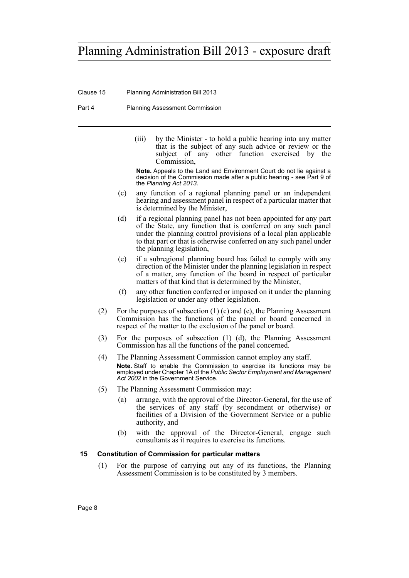Clause 15 Planning Administration Bill 2013

Part 4 Planning Assessment Commission

(iii) by the Minister - to hold a public hearing into any matter that is the subject of any such advice or review or the subject of any other function exercised by the Commission,

**Note.** Appeals to the Land and Environment Court do not lie against a decision of the Commission made after a public hearing - see Part 9 of the *Planning Act 2013*.

- (c) any function of a regional planning panel or an independent hearing and assessment panel in respect of a particular matter that is determined by the Minister,
- (d) if a regional planning panel has not been appointed for any part of the State, any function that is conferred on any such panel under the planning control provisions of a local plan applicable to that part or that is otherwise conferred on any such panel under the planning legislation,
- (e) if a subregional planning board has failed to comply with any direction of the Minister under the planning legislation in respect of a matter, any function of the board in respect of particular matters of that kind that is determined by the Minister,
- (f) any other function conferred or imposed on it under the planning legislation or under any other legislation.
- (2) For the purposes of subsection (1) (c) and (e), the Planning Assessment Commission has the functions of the panel or board concerned in respect of the matter to the exclusion of the panel or board.
- (3) For the purposes of subsection (1) (d), the Planning Assessment Commission has all the functions of the panel concerned.
- (4) The Planning Assessment Commission cannot employ any staff. **Note.** Staff to enable the Commission to exercise its functions may be employed under Chapter 1A of the *Public Sector Employment and Management Act 2002* in the Government Service.
- (5) The Planning Assessment Commission may:
	- (a) arrange, with the approval of the Director-General, for the use of the services of any staff (by secondment or otherwise) or facilities of a Division of the Government Service or a public authority, and
	- (b) with the approval of the Director-General, engage such consultants as it requires to exercise its functions.

### <span id="page-11-0"></span>**15 Constitution of Commission for particular matters**

(1) For the purpose of carrying out any of its functions, the Planning Assessment Commission is to be constituted by 3 members.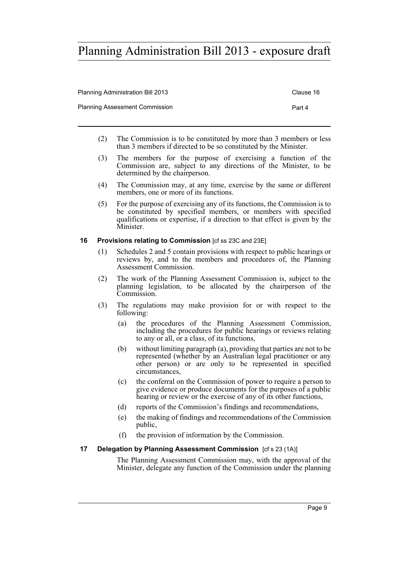| <b>Planning Administration Bill 2013</b> | Clause 16 |
|------------------------------------------|-----------|
| <b>Planning Assessment Commission</b>    | Part 4    |
|                                          |           |

- (2) The Commission is to be constituted by more than 3 members or less than 3 members if directed to be so constituted by the Minister.
- (3) The members for the purpose of exercising a function of the Commission are, subject to any directions of the Minister, to be determined by the chairperson.
- (4) The Commission may, at any time, exercise by the same or different members, one or more of its functions.
- (5) For the purpose of exercising any of its functions, the Commission is to be constituted by specified members, or members with specified qualifications or expertise, if a direction to that effect is given by the Minister.

### <span id="page-12-0"></span>**16 Provisions relating to Commission** Icf ss 23C and 23E1

- (1) Schedules 2 and 5 contain provisions with respect to public hearings or reviews by, and to the members and procedures of, the Planning Assessment Commission.
- (2) The work of the Planning Assessment Commission is, subject to the planning legislation, to be allocated by the chairperson of the Commission.
- (3) The regulations may make provision for or with respect to the following:
	- (a) the procedures of the Planning Assessment Commission, including the procedures for public hearings or reviews relating to any or all, or a class, of its functions,
	- (b) without limiting paragraph (a), providing that parties are not to be represented (whether by an Australian legal practitioner or any other person) or are only to be represented in specified circumstances,
	- (c) the conferral on the Commission of power to require a person to give evidence or produce documents for the purposes of a public hearing or review or the exercise of any of its other functions,
	- (d) reports of the Commission's findings and recommendations,
	- (e) the making of findings and recommendations of the Commission public,
	- (f) the provision of information by the Commission.

## <span id="page-12-1"></span>**17 Delegation by Planning Assessment Commission** [cf s 23 (1A)]

The Planning Assessment Commission may, with the approval of the Minister, delegate any function of the Commission under the planning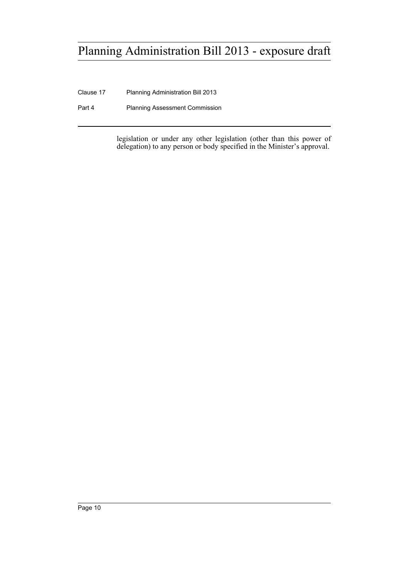Clause 17 Planning Administration Bill 2013

Part 4 Planning Assessment Commission

legislation or under any other legislation (other than this power of delegation) to any person or body specified in the Minister's approval.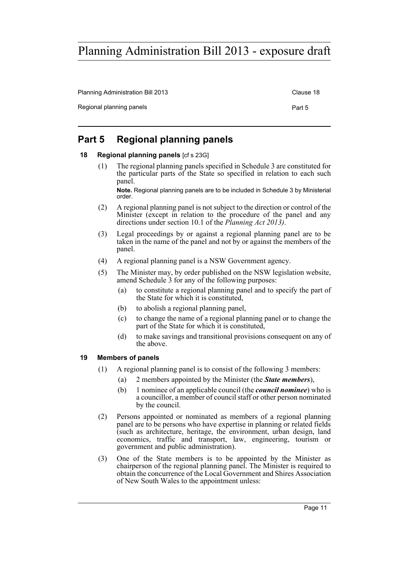Planning Administration Bill 2013 Clause 18 Regional planning panels **Part 5** Part 5

# <span id="page-14-0"></span>**Part 5 Regional planning panels**

## <span id="page-14-1"></span>**18 Regional planning panels** [cf s 23G]

(1) The regional planning panels specified in Schedule 3 are constituted for the particular parts of the State so specified in relation to each such panel.

**Note.** Regional planning panels are to be included in Schedule 3 by Ministerial order.

- (2) A regional planning panel is not subject to the direction or control of the Minister (except in relation to the procedure of the panel and any directions under section 10.1 of the *Planning Act 2013)*.
- (3) Legal proceedings by or against a regional planning panel are to be taken in the name of the panel and not by or against the members of the panel.
- (4) A regional planning panel is a NSW Government agency.
- (5) The Minister may, by order published on the NSW legislation website, amend Schedule 3 for any of the following purposes:
	- (a) to constitute a regional planning panel and to specify the part of the State for which it is constituted,
	- (b) to abolish a regional planning panel,
	- (c) to change the name of a regional planning panel or to change the part of the State for which it is constituted,
	- (d) to make savings and transitional provisions consequent on any of the above.

### <span id="page-14-2"></span>**19 Members of panels**

- (1) A regional planning panel is to consist of the following 3 members:
	- (a) 2 members appointed by the Minister (the *State members*),
	- (b) 1 nominee of an applicable council (the *council nominee*) who is a councillor, a member of council staff or other person nominated by the council.
- (2) Persons appointed or nominated as members of a regional planning panel are to be persons who have expertise in planning or related fields (such as architecture, heritage, the environment, urban design, land economics, traffic and transport, law, engineering, tourism or government and public administration).
- (3) One of the State members is to be appointed by the Minister as chairperson of the regional planning panel. The Minister is required to obtain the concurrence of the Local Government and Shires Association of New South Wales to the appointment unless: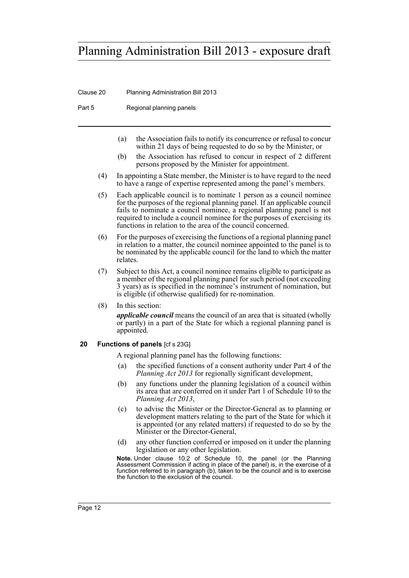Clause 20 Planning Administration Bill 2013

Part 5 Regional planning panels

- (a) the Association fails to notify its concurrence or refusal to concur within 21 days of being requested to do so by the Minister, or
- (b) the Association has refused to concur in respect of 2 different persons proposed by the Minister for appointment.
- (4) In appointing a State member, the Minister is to have regard to the need to have a range of expertise represented among the panel's members.
- (5) Each applicable council is to nominate 1 person as a council nominee for the purposes of the regional planning panel. If an applicable council fails to nominate a council nominee, a regional planning panel is not required to include a council nominee for the purposes of exercising its functions in relation to the area of the council concerned.
- (6) For the purposes of exercising the functions of a regional planning panel in relation to a matter, the council nominee appointed to the panel is to be nominated by the applicable council for the land to which the matter relates.
- (7) Subject to this Act, a council nominee remains eligible to participate as a member of the regional planning panel for such period (not exceeding 3 years) as is specified in the nominee's instrument of nomination, but is eligible (if otherwise qualified) for re-nomination.
- (8) In this section:

*applicable council* means the council of an area that is situated (wholly or partly) in a part of the State for which a regional planning panel is appointed.

### <span id="page-15-0"></span>**20 Functions of panels** [cf s 23G]

A regional planning panel has the following functions:

- (a) the specified functions of a consent authority under Part 4 of the *Planning Act 2013* for regionally significant development,
- (b) any functions under the planning legislation of a council within its area that are conferred on it under Part 1 of Schedule 10 to the *Planning Act 2013*,
- (c) to advise the Minister or the Director-General as to planning or development matters relating to the part of the State for which it is appointed (or any related matters) if requested to do so by the Minister or the Director-General,
- (d) any other function conferred or imposed on it under the planning legislation or any other legislation.

**Note.** Under clause 10.2 of Schedule 10, the panel (or the Planning Assessment Commission if acting in place of the panel) is, in the exercise of a function referred to in paragraph (b), taken to be the council and is to exercise the function to the exclusion of the council.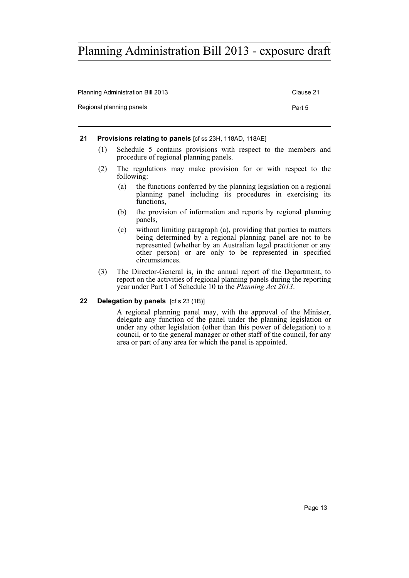| Planning Administration Bill 2013 | Clause 21 |
|-----------------------------------|-----------|
| Regional planning panels          | Part 5    |

### <span id="page-16-0"></span>**21 Provisions relating to panels** [cf ss 23H, 118AD, 118AE]

- (1) Schedule 5 contains provisions with respect to the members and procedure of regional planning panels.
- (2) The regulations may make provision for or with respect to the following:
	- (a) the functions conferred by the planning legislation on a regional planning panel including its procedures in exercising its functions,
	- (b) the provision of information and reports by regional planning panels,
	- (c) without limiting paragraph (a), providing that parties to matters being determined by a regional planning panel are not to be represented (whether by an Australian legal practitioner or any other person) or are only to be represented in specified circumstances.
- (3) The Director-General is, in the annual report of the Department, to report on the activities of regional planning panels during the reporting year under Part 1 of Schedule 10 to the *Planning Act 2013*.

### <span id="page-16-1"></span>**22 Delegation by panels** [cf s 23 (1B)]

A regional planning panel may, with the approval of the Minister, delegate any function of the panel under the planning legislation or under any other legislation (other than this power of delegation) to a council, or to the general manager or other staff of the council, for any area or part of any area for which the panel is appointed.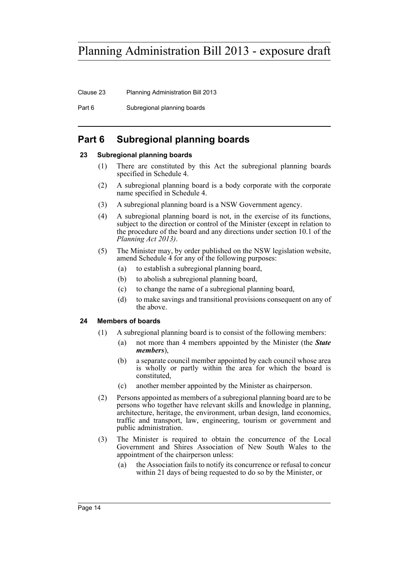Clause 23 Planning Administration Bill 2013

Part 6 Subregional planning boards

# <span id="page-17-0"></span>**Part 6 Subregional planning boards**

# <span id="page-17-1"></span>**23 Subregional planning boards**

- (1) There are constituted by this Act the subregional planning boards specified in Schedule 4.
- (2) A subregional planning board is a body corporate with the corporate name specified in Schedule 4.
- (3) A subregional planning board is a NSW Government agency.
- (4) A subregional planning board is not, in the exercise of its functions, subject to the direction or control of the Minister (except in relation to the procedure of the board and any directions under section 10.1 of the *Planning Act 2013)*.
- (5) The Minister may, by order published on the NSW legislation website, amend Schedule 4 for any of the following purposes:
	- (a) to establish a subregional planning board,
	- (b) to abolish a subregional planning board,
	- (c) to change the name of a subregional planning board,
	- (d) to make savings and transitional provisions consequent on any of the above.

## <span id="page-17-2"></span>**24 Members of boards**

- (1) A subregional planning board is to consist of the following members:
	- (a) not more than 4 members appointed by the Minister (the *State members*),
	- (b) a separate council member appointed by each council whose area is wholly or partly within the area for which the board is constituted,
	- (c) another member appointed by the Minister as chairperson.
- (2) Persons appointed as members of a subregional planning board are to be persons who together have relevant skills and knowledge in planning, architecture, heritage, the environment, urban design, land economics, traffic and transport, law, engineering, tourism or government and public administration.
- (3) The Minister is required to obtain the concurrence of the Local Government and Shires Association of New South Wales to the appointment of the chairperson unless:
	- (a) the Association fails to notify its concurrence or refusal to concur within 21 days of being requested to do so by the Minister, or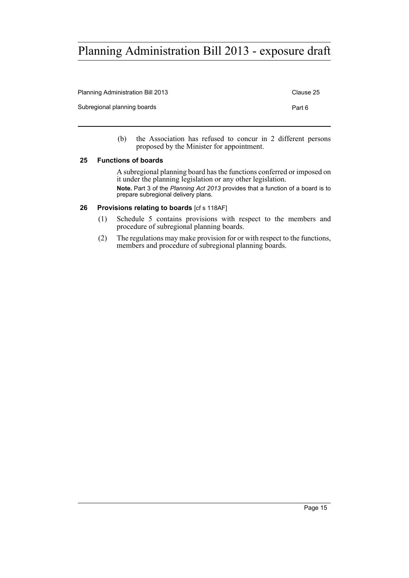| <b>Planning Administration Bill 2013</b> | Clause 25 |
|------------------------------------------|-----------|
| Subregional planning boards              | Part 6    |
|                                          |           |

(b) the Association has refused to concur in 2 different persons proposed by the Minister for appointment.

### <span id="page-18-0"></span>**25 Functions of boards**

A subregional planning board has the functions conferred or imposed on it under the planning legislation or any other legislation. **Note.** Part 3 of the *Planning Act 2013* provides that a function of a board is to prepare subregional delivery plans.

### <span id="page-18-1"></span>**26 Provisions relating to boards** [cf s 118AF]

- (1) Schedule 5 contains provisions with respect to the members and procedure of subregional planning boards.
- (2) The regulations may make provision for or with respect to the functions, members and procedure of subregional planning boards.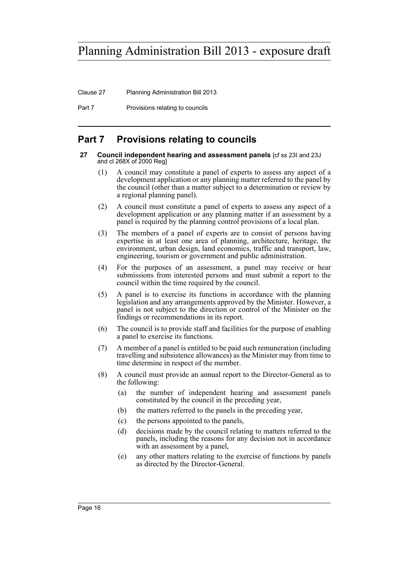Clause 27 Planning Administration Bill 2013

Part 7 Provisions relating to councils

# <span id="page-19-0"></span>**Part 7 Provisions relating to councils**

#### <span id="page-19-1"></span>**27 Council independent hearing and assessment panels** [cf ss 23I and 23J and cl 268X of 2000 Reg]

- (1) A council may constitute a panel of experts to assess any aspect of a development application or any planning matter referred to the panel by the council (other than a matter subject to a determination or review by a regional planning panel).
- (2) A council must constitute a panel of experts to assess any aspect of a development application or any planning matter if an assessment by a panel is required by the planning control provisions of a local plan.
- (3) The members of a panel of experts are to consist of persons having expertise in at least one area of planning, architecture, heritage, the environment, urban design, land economics, traffic and transport, law, engineering, tourism or government and public administration.
- (4) For the purposes of an assessment, a panel may receive or hear submissions from interested persons and must submit a report to the council within the time required by the council.
- (5) A panel is to exercise its functions in accordance with the planning legislation and any arrangements approved by the Minister. However, a panel is not subject to the direction or control of the Minister on the findings or recommendations in its report.
- (6) The council is to provide staff and facilities for the purpose of enabling a panel to exercise its functions.
- (7) A member of a panel is entitled to be paid such remuneration (including travelling and subsistence allowances) as the Minister may from time to time determine in respect of the member.
- (8) A council must provide an annual report to the Director-General as to the following:
	- (a) the number of independent hearing and assessment panels constituted by the council in the preceding year,
	- (b) the matters referred to the panels in the preceding year,
	- (c) the persons appointed to the panels,
	- (d) decisions made by the council relating to matters referred to the panels, including the reasons for any decision not in accordance with an assessment by a panel,
	- (e) any other matters relating to the exercise of functions by panels as directed by the Director-General.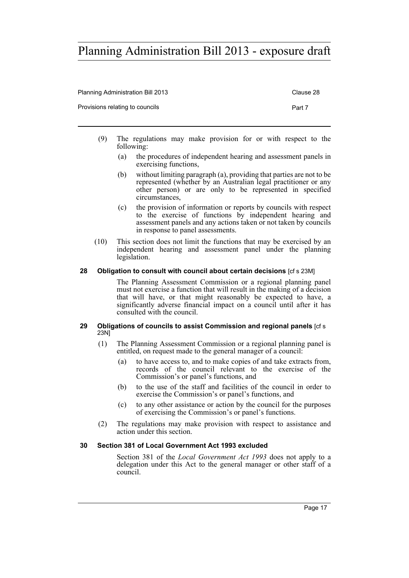| <b>Planning Administration Bill 2013</b> | Clause 28 |
|------------------------------------------|-----------|
| Provisions relating to councils          | Part 7    |
|                                          |           |

- (9) The regulations may make provision for or with respect to the following:
	- (a) the procedures of independent hearing and assessment panels in exercising functions,
	- (b) without limiting paragraph (a), providing that parties are not to be represented (whether by an Australian legal practitioner or any other person) or are only to be represented in specified circumstances,
	- (c) the provision of information or reports by councils with respect to the exercise of functions by independent hearing and assessment panels and any actions taken or not taken by councils in response to panel assessments.
- (10) This section does not limit the functions that may be exercised by an independent hearing and assessment panel under the planning legislation.

### <span id="page-20-0"></span>**28 Obligation to consult with council about certain decisions** [cf s 23M]

The Planning Assessment Commission or a regional planning panel must not exercise a function that will result in the making of a decision that will have, or that might reasonably be expected to have, a significantly adverse financial impact on a council until after it has consulted with the council.

#### <span id="page-20-1"></span>**29 Obligations of councils to assist Commission and regional panels** [cf s 23N]

- (1) The Planning Assessment Commission or a regional planning panel is entitled, on request made to the general manager of a council:
	- (a) to have access to, and to make copies of and take extracts from, records of the council relevant to the exercise of the Commission's or panel's functions, and
	- (b) to the use of the staff and facilities of the council in order to exercise the Commission's or panel's functions, and
	- (c) to any other assistance or action by the council for the purposes of exercising the Commission's or panel's functions.
- (2) The regulations may make provision with respect to assistance and action under this section.

## <span id="page-20-2"></span>**30 Section 381 of Local Government Act 1993 excluded**

Section 381 of the *Local Government Act 1993* does not apply to a delegation under this Act to the general manager or other staff of a council.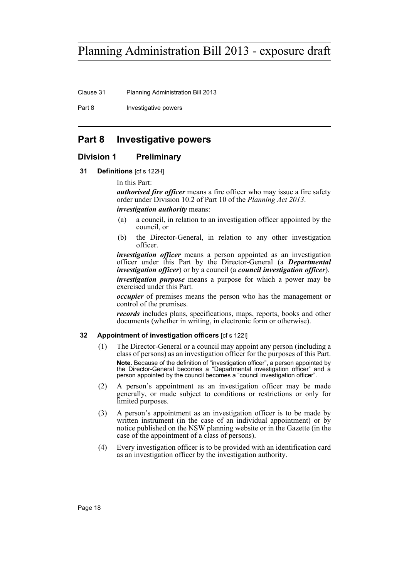Clause 31 Planning Administration Bill 2013

Part 8 **Investigative powers** 

# <span id="page-21-0"></span>**Part 8 Investigative powers**

# <span id="page-21-1"></span>**Division 1 Preliminary**

<span id="page-21-2"></span>**31 Definitions** [cf s 122H]

In this Part:

*authorised fire officer* means a fire officer who may issue a fire safety order under Division 10.2 of Part 10 of the *Planning Act 2013*. *investigation authority* means:

- (a) a council, in relation to an investigation officer appointed by the council, or
- (b) the Director-General, in relation to any other investigation officer.

*investigation officer* means a person appointed as an investigation officer under this Part by the Director-General (a *Departmental investigation officer*) or by a council (a *council investigation officer*). *investigation purpose* means a purpose for which a power may be exercised under this Part.

*occupier* of premises means the person who has the management or control of the premises.

*records* includes plans, specifications, maps, reports, books and other documents (whether in writing, in electronic form or otherwise).

## <span id="page-21-3"></span>**32 Appointment of investigation officers** [cf s 122I]

- (1) The Director-General or a council may appoint any person (including a class of persons) as an investigation officer for the purposes of this Part. **Note.** Because of the definition of "investigation officer", a person appointed by the Director-General becomes a "Departmental investigation officer" and a person appointed by the council becomes a "council investigation officer".
- (2) A person's appointment as an investigation officer may be made generally, or made subject to conditions or restrictions or only for limited purposes.
- (3) A person's appointment as an investigation officer is to be made by written instrument (in the case of an individual appointment) or by notice published on the NSW planning website or in the Gazette (in the case of the appointment of a class of persons).
- (4) Every investigation officer is to be provided with an identification card as an investigation officer by the investigation authority.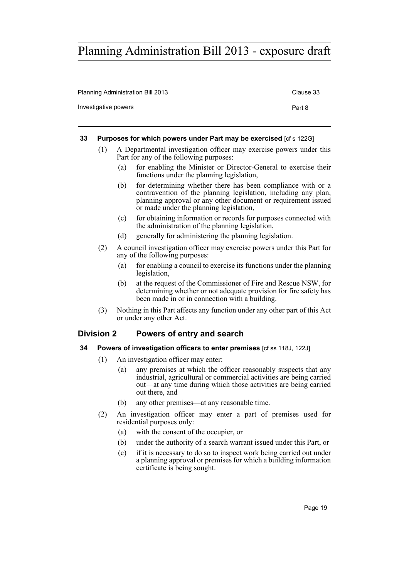| Planning Administration Bill 2013 | Clause 33 |
|-----------------------------------|-----------|
| Investigative powers              | Part 8    |

### <span id="page-22-0"></span>**33 Purposes for which powers under Part may be exercised** [cf s 122G]

- (1) A Departmental investigation officer may exercise powers under this Part for any of the following purposes:
	- (a) for enabling the Minister or Director-General to exercise their functions under the planning legislation,
	- (b) for determining whether there has been compliance with or a contravention of the planning legislation, including any plan, planning approval or any other document or requirement issued or made under the planning legislation,
	- (c) for obtaining information or records for purposes connected with the administration of the planning legislation,
	- (d) generally for administering the planning legislation.
- (2) A council investigation officer may exercise powers under this Part for any of the following purposes:
	- (a) for enabling a council to exercise its functions under the planning legislation,
	- (b) at the request of the Commissioner of Fire and Rescue NSW, for determining whether or not adequate provision for fire safety has been made in or in connection with a building.
- (3) Nothing in this Part affects any function under any other part of this Act or under any other Act.

# <span id="page-22-1"></span>**Division 2 Powers of entry and search**

- <span id="page-22-2"></span>**34 Powers of investigation officers to enter premises** [cf ss 118J, 122J]
	- (1) An investigation officer may enter:
		- (a) any premises at which the officer reasonably suspects that any industrial, agricultural or commercial activities are being carried out—at any time during which those activities are being carried out there, and
		- (b) any other premises—at any reasonable time.
	- (2) An investigation officer may enter a part of premises used for residential purposes only:
		- (a) with the consent of the occupier, or
		- (b) under the authority of a search warrant issued under this Part, or
		- (c) if it is necessary to do so to inspect work being carried out under a planning approval or premises for which a building information certificate is being sought.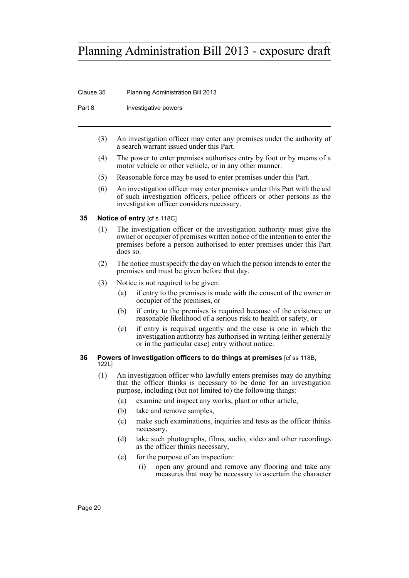Clause 35 Planning Administration Bill 2013

Part 8 **Investigative powers** 

- (3) An investigation officer may enter any premises under the authority of a search warrant issued under this Part.
- (4) The power to enter premises authorises entry by foot or by means of a motor vehicle or other vehicle, or in any other manner.
- (5) Reasonable force may be used to enter premises under this Part.
- (6) An investigation officer may enter premises under this Part with the aid of such investigation officers, police officers or other persons as the investigation officer considers necessary.

### <span id="page-23-0"></span>**35 Notice of entry** [cf s 118C]

- (1) The investigation officer or the investigation authority must give the owner or occupier of premises written notice of the intention to enter the premises before a person authorised to enter premises under this Part does so.
- (2) The notice must specify the day on which the person intends to enter the premises and must be given before that day.
- (3) Notice is not required to be given:
	- (a) if entry to the premises is made with the consent of the owner or occupier of the premises, or
	- (b) if entry to the premises is required because of the existence or reasonable likelihood of a serious risk to health or safety, or
	- (c) if entry is required urgently and the case is one in which the investigation authority has authorised in writing (either generally or in the particular case) entry without notice.

### <span id="page-23-1"></span>**36 Powers of investigation officers to do things at premises** [cf ss 118B, 122L]

- (1) An investigation officer who lawfully enters premises may do anything that the officer thinks is necessary to be done for an investigation purpose, including (but not limited to) the following things:
	- (a) examine and inspect any works, plant or other article,
	- (b) take and remove samples,
	- (c) make such examinations, inquiries and tests as the officer thinks necessary,
	- (d) take such photographs, films, audio, video and other recordings as the officer thinks necessary,
	- (e) for the purpose of an inspection:
		- (i) open any ground and remove any flooring and take any measures that may be necessary to ascertain the character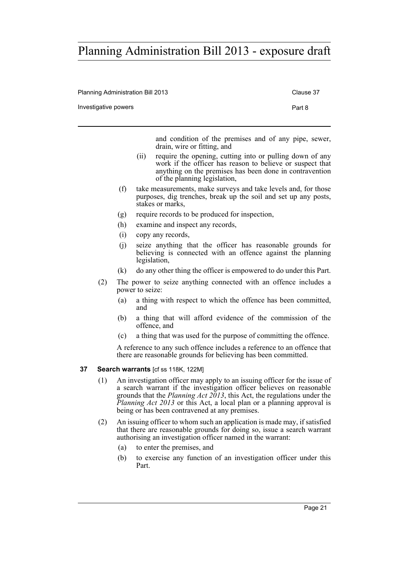Planning Administration Bill 2013 Clause 37

Investigative powers **Part 8** 

and condition of the premises and of any pipe, sewer, drain, wire or fitting, and

- (ii) require the opening, cutting into or pulling down of any work if the officer has reason to believe or suspect that anything on the premises has been done in contravention of the planning legislation,
- (f) take measurements, make surveys and take levels and, for those purposes, dig trenches, break up the soil and set up any posts, stakes or marks,
- (g) require records to be produced for inspection,
- (h) examine and inspect any records,
- (i) copy any records,
- (j) seize anything that the officer has reasonable grounds for believing is connected with an offence against the planning legislation,
- (k) do any other thing the officer is empowered to do under this Part.
- (2) The power to seize anything connected with an offence includes a power to seize:
	- (a) a thing with respect to which the offence has been committed, and
	- (b) a thing that will afford evidence of the commission of the offence, and
	- (c) a thing that was used for the purpose of committing the offence.

A reference to any such offence includes a reference to an offence that there are reasonable grounds for believing has been committed.

### <span id="page-24-0"></span>**37 Search warrants** [cf ss 118K, 122M]

- (1) An investigation officer may apply to an issuing officer for the issue of a search warrant if the investigation officer believes on reasonable grounds that the *Planning Act 2013*, this Act, the regulations under the *Planning Act 2013* or this Act, a local plan or a planning approval is being or has been contravened at any premises.
- (2) An issuing officer to whom such an application is made may, if satisfied that there are reasonable grounds for doing so, issue a search warrant authorising an investigation officer named in the warrant:
	- (a) to enter the premises, and
	- (b) to exercise any function of an investigation officer under this Part.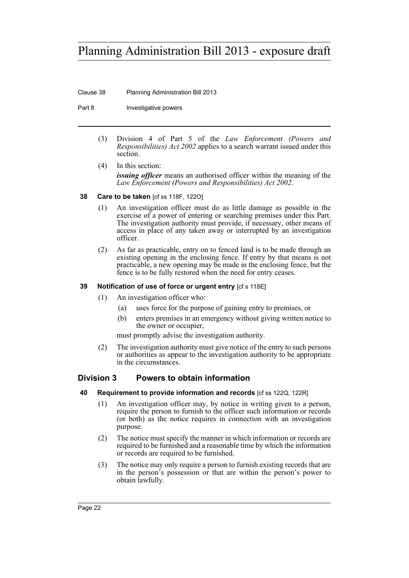Clause 38 Planning Administration Bill 2013

Part 8 **Investigative powers** 

(3) Division 4 of Part 5 of the *Law Enforcement (Powers and Responsibilities) Act 2002* applies to a search warrant issued under this section.

(4) In this section: *issuing officer* means an authorised officer within the meaning of the *Law Enforcement (Powers and Responsibilities) Act 2002*.

<span id="page-25-0"></span>**38 Care to be taken** [cf ss 118F, 122O]

- (1) An investigation officer must do as little damage as possible in the exercise of a power of entering or searching premises under this Part. The investigation authority must provide, if necessary, other means of access in place of any taken away or interrupted by an investigation officer.
- (2) As far as practicable, entry on to fenced land is to be made through an existing opening in the enclosing fence. If entry by that means is not practicable, a new opening may be made in the enclosing fence, but the fence is to be fully restored when the need for entry ceases.

# <span id="page-25-1"></span>**39 Notification of use of force or urgent entry** [cf s 118E]

- (1) An investigation officer who:
	- (a) uses force for the purpose of gaining entry to premises, or
	- (b) enters premises in an emergency without giving written notice to the owner or occupier,

must promptly advise the investigation authority.

(2) The investigation authority must give notice of the entry to such persons or authorities as appear to the investigation authority to be appropriate in the circumstances.

# <span id="page-25-2"></span>**Division 3 Powers to obtain information**

- <span id="page-25-3"></span>**40 Requirement to provide information and records** [cf ss 122Q, 122R]
	- (1) An investigation officer may, by notice in writing given to a person, require the person to furnish to the officer such information or records (or both) as the notice requires in connection with an investigation purpose.
	- (2) The notice must specify the manner in which information or records are required to be furnished and a reasonable time by which the information or records are required to be furnished.
	- (3) The notice may only require a person to furnish existing records that are in the person's possession or that are within the person's power to obtain lawfully.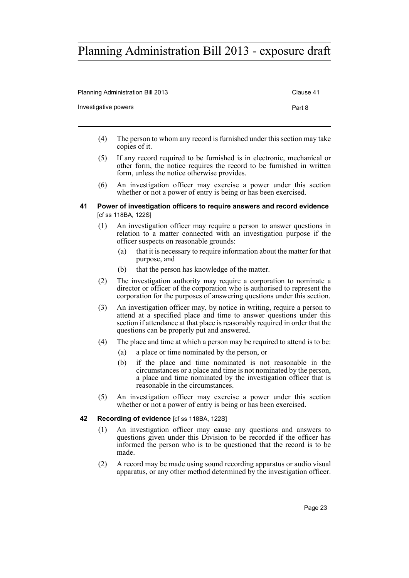| <b>Planning Administration Bill 2013</b> | Clause 41 |
|------------------------------------------|-----------|
| Investigative powers                     | Part 8    |

- (4) The person to whom any record is furnished under this section may take copies of it.
- (5) If any record required to be furnished is in electronic, mechanical or other form, the notice requires the record to be furnished in written form, unless the notice otherwise provides.
- (6) An investigation officer may exercise a power under this section whether or not a power of entry is being or has been exercised.

### <span id="page-26-0"></span>**41 Power of investigation officers to require answers and record evidence**  [cf ss 118BA, 122S]

- (1) An investigation officer may require a person to answer questions in relation to a matter connected with an investigation purpose if the officer suspects on reasonable grounds:
	- (a) that it is necessary to require information about the matter for that purpose, and
	- (b) that the person has knowledge of the matter.
- (2) The investigation authority may require a corporation to nominate a director or officer of the corporation who is authorised to represent the corporation for the purposes of answering questions under this section.
- (3) An investigation officer may, by notice in writing, require a person to attend at a specified place and time to answer questions under this section if attendance at that place is reasonably required in order that the questions can be properly put and answered.
- (4) The place and time at which a person may be required to attend is to be:
	- (a) a place or time nominated by the person, or
	- (b) if the place and time nominated is not reasonable in the circumstances or a place and time is not nominated by the person, a place and time nominated by the investigation officer that is reasonable in the circumstances.
- (5) An investigation officer may exercise a power under this section whether or not a power of entry is being or has been exercised.

## <span id="page-26-1"></span>**42 Recording of evidence** [cf ss 118BA, 122S]

- (1) An investigation officer may cause any questions and answers to questions given under this Division to be recorded if the officer has informed the person who is to be questioned that the record is to be made.
- (2) A record may be made using sound recording apparatus or audio visual apparatus, or any other method determined by the investigation officer.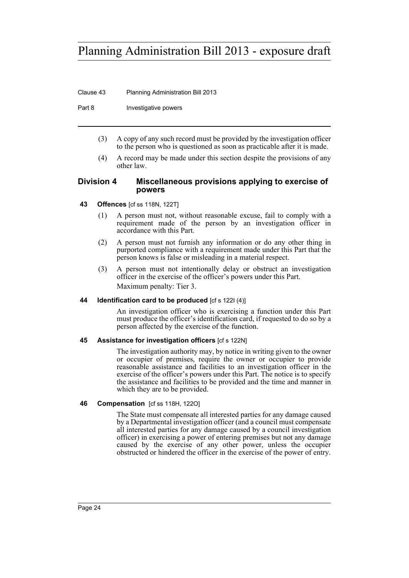Clause 43 Planning Administration Bill 2013

Part 8 **Investigative powers** 

- (3) A copy of any such record must be provided by the investigation officer to the person who is questioned as soon as practicable after it is made.
- (4) A record may be made under this section despite the provisions of any other law.

## <span id="page-27-0"></span>**Division 4 Miscellaneous provisions applying to exercise of powers**

## <span id="page-27-1"></span>**43 Offences** [cf ss 118N, 122T]

- (1) A person must not, without reasonable excuse, fail to comply with a requirement made of the person by an investigation officer in accordance with this Part.
- (2) A person must not furnish any information or do any other thing in purported compliance with a requirement made under this Part that the person knows is false or misleading in a material respect.
- (3) A person must not intentionally delay or obstruct an investigation officer in the exercise of the officer's powers under this Part. Maximum penalty: Tier 3.

## <span id="page-27-2"></span>**44 Identification card to be produced** [cf s 122I (4)]

An investigation officer who is exercising a function under this Part must produce the officer's identification card, if requested to do so by a person affected by the exercise of the function.

## <span id="page-27-3"></span>**45 Assistance for investigation officers** [cf s 122N]

The investigation authority may, by notice in writing given to the owner or occupier of premises, require the owner or occupier to provide reasonable assistance and facilities to an investigation officer in the exercise of the officer's powers under this Part. The notice is to specify the assistance and facilities to be provided and the time and manner in which they are to be provided.

## <span id="page-27-4"></span>**46 Compensation** [cf ss 118H, 122O]

The State must compensate all interested parties for any damage caused by a Departmental investigation officer (and a council must compensate all interested parties for any damage caused by a council investigation officer) in exercising a power of entering premises but not any damage caused by the exercise of any other power, unless the occupier obstructed or hindered the officer in the exercise of the power of entry.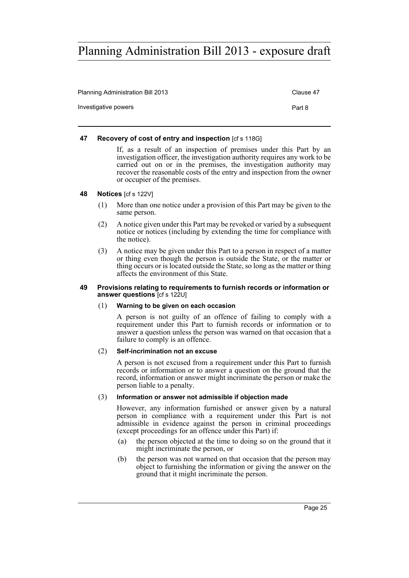| <b>Planning Administration Bill 2013</b> | Clause 47 |
|------------------------------------------|-----------|
| Investigative powers                     | Part 8    |

### <span id="page-28-0"></span>**47 Recovery of cost of entry and inspection** [cf s 118G]

If, as a result of an inspection of premises under this Part by an investigation officer, the investigation authority requires any work to be carried out on or in the premises, the investigation authority may recover the reasonable costs of the entry and inspection from the owner or occupier of the premises.

### <span id="page-28-1"></span>**48 Notices** [cf s 122V]

- (1) More than one notice under a provision of this Part may be given to the same person.
- (2) A notice given under this Part may be revoked or varied by a subsequent notice or notices (including by extending the time for compliance with the notice).
- (3) A notice may be given under this Part to a person in respect of a matter or thing even though the person is outside the State, or the matter or thing occurs or is located outside the State, so long as the matter or thing affects the environment of this State.

#### <span id="page-28-2"></span>**49 Provisions relating to requirements to furnish records or information or answer questions** [cf s 122U]

### (1) **Warning to be given on each occasion**

A person is not guilty of an offence of failing to comply with a requirement under this Part to furnish records or information or to answer a question unless the person was warned on that occasion that a failure to comply is an offence.

### (2) **Self-incrimination not an excuse**

A person is not excused from a requirement under this Part to furnish records or information or to answer a question on the ground that the record, information or answer might incriminate the person or make the person liable to a penalty.

### (3) **Information or answer not admissible if objection made**

However, any information furnished or answer given by a natural person in compliance with a requirement under this Part is not admissible in evidence against the person in criminal proceedings (except proceedings for an offence under this Part) if:

- (a) the person objected at the time to doing so on the ground that it might incriminate the person, or
- (b) the person was not warned on that occasion that the person may object to furnishing the information or giving the answer on the ground that it might incriminate the person.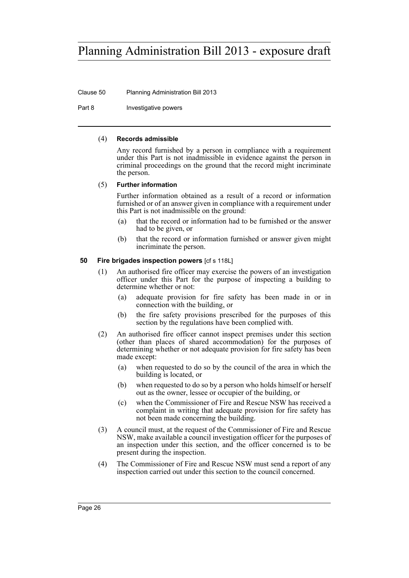Clause 50 Planning Administration Bill 2013

Part 8 **Investigative powers** 

### (4) **Records admissible**

Any record furnished by a person in compliance with a requirement under this Part is not inadmissible in evidence against the person in criminal proceedings on the ground that the record might incriminate the person.

### (5) **Further information**

Further information obtained as a result of a record or information furnished or of an answer given in compliance with a requirement under this Part is not inadmissible on the ground:

- (a) that the record or information had to be furnished or the answer had to be given, or
- (b) that the record or information furnished or answer given might incriminate the person.

### <span id="page-29-0"></span>**50 Fire brigades inspection powers** [cf s 118L]

- (1) An authorised fire officer may exercise the powers of an investigation officer under this Part for the purpose of inspecting a building to determine whether or not:
	- (a) adequate provision for fire safety has been made in or in connection with the building, or
	- (b) the fire safety provisions prescribed for the purposes of this section by the regulations have been complied with.
- (2) An authorised fire officer cannot inspect premises under this section (other than places of shared accommodation) for the purposes of determining whether or not adequate provision for fire safety has been made except:
	- (a) when requested to do so by the council of the area in which the building is located, or
	- (b) when requested to do so by a person who holds himself or herself out as the owner, lessee or occupier of the building, or
	- (c) when the Commissioner of Fire and Rescue NSW has received a complaint in writing that adequate provision for fire safety has not been made concerning the building.
- (3) A council must, at the request of the Commissioner of Fire and Rescue NSW, make available a council investigation officer for the purposes of an inspection under this section, and the officer concerned is to be present during the inspection.
- (4) The Commissioner of Fire and Rescue NSW must send a report of any inspection carried out under this section to the council concerned.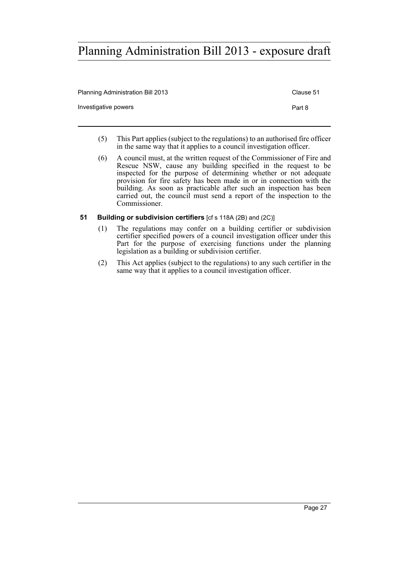| <b>Planning Administration Bill 2013</b> | Clause 51 |
|------------------------------------------|-----------|
| Investigative powers                     | Part 8    |
|                                          |           |

- (5) This Part applies (subject to the regulations) to an authorised fire officer in the same way that it applies to a council investigation officer.
- (6) A council must, at the written request of the Commissioner of Fire and Rescue NSW, cause any building specified in the request to be inspected for the purpose of determining whether or not adequate provision for fire safety has been made in or in connection with the building. As soon as practicable after such an inspection has been carried out, the council must send a report of the inspection to the Commissioner.
- <span id="page-30-0"></span>**51 Building or subdivision certifiers** [cf s 118A (2B) and (2C)]
	- (1) The regulations may confer on a building certifier or subdivision certifier specified powers of a council investigation officer under this Part for the purpose of exercising functions under the planning legislation as a building or subdivision certifier.
	- (2) This Act applies (subject to the regulations) to any such certifier in the same way that it applies to a council investigation officer.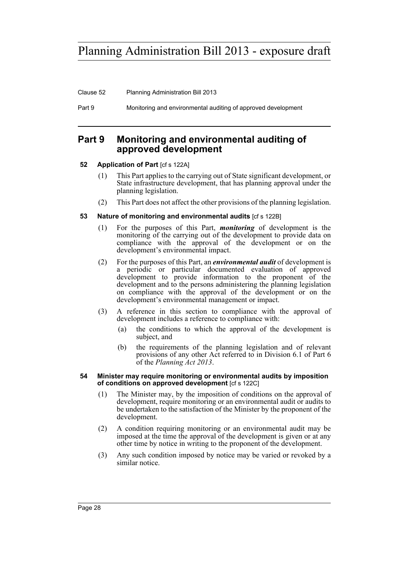Clause 52 Planning Administration Bill 2013

Part 9 Monitoring and environmental auditing of approved development

# <span id="page-31-0"></span>**Part 9 Monitoring and environmental auditing of approved development**

# <span id="page-31-1"></span>**52 Application of Part [cf s 122A]**

- (1) This Part applies to the carrying out of State significant development, or State infrastructure development, that has planning approval under the planning legislation.
- (2) This Part does not affect the other provisions of the planning legislation.
- <span id="page-31-2"></span>**53 Nature of monitoring and environmental audits** [cf s 122B]
	- (1) For the purposes of this Part, *monitoring* of development is the monitoring of the carrying out of the development to provide data on compliance with the approval of the development or on the development's environmental impact.
	- (2) For the purposes of this Part, an *environmental audit* of development is a periodic or particular documented evaluation of approved development to provide information to the proponent of the development and to the persons administering the planning legislation on compliance with the approval of the development or on the development's environmental management or impact.
	- (3) A reference in this section to compliance with the approval of development includes a reference to compliance with:
		- (a) the conditions to which the approval of the development is subject, and
		- (b) the requirements of the planning legislation and of relevant provisions of any other Act referred to in Division 6.1 of Part 6 of the *Planning Act 2013*.

#### <span id="page-31-3"></span>**54 Minister may require monitoring or environmental audits by imposition of conditions on approved development** [cf s 122C]

- (1) The Minister may, by the imposition of conditions on the approval of development, require monitoring or an environmental audit or audits to be undertaken to the satisfaction of the Minister by the proponent of the development.
- (2) A condition requiring monitoring or an environmental audit may be imposed at the time the approval of the development is given or at any other time by notice in writing to the proponent of the development.
- (3) Any such condition imposed by notice may be varied or revoked by a similar notice.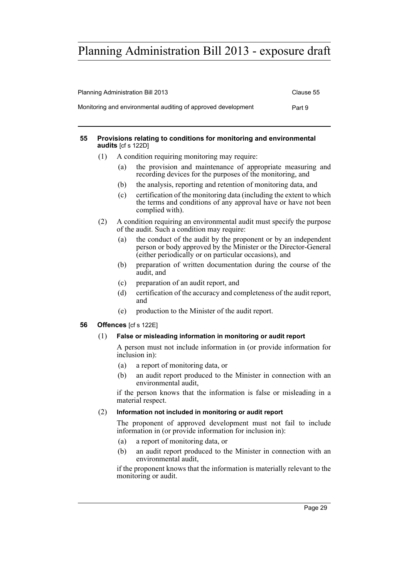| <b>Planning Administration Bill 2013</b>                      | Clause 55 |
|---------------------------------------------------------------|-----------|
| Monitoring and environmental auditing of approved development | Part 9    |

### <span id="page-32-0"></span>**55 Provisions relating to conditions for monitoring and environmental audits** [cf s 122D]

- (1) A condition requiring monitoring may require:
	- (a) the provision and maintenance of appropriate measuring and recording devices for the purposes of the monitoring, and
	- (b) the analysis, reporting and retention of monitoring data, and
	- (c) certification of the monitoring data (including the extent to which the terms and conditions of any approval have or have not been complied with).
- (2) A condition requiring an environmental audit must specify the purpose of the audit. Such a condition may require:
	- (a) the conduct of the audit by the proponent or by an independent person or body approved by the Minister or the Director-General (either periodically or on particular occasions), and
	- (b) preparation of written documentation during the course of the audit, and
	- (c) preparation of an audit report, and
	- (d) certification of the accuracy and completeness of the audit report, and
	- (e) production to the Minister of the audit report.

# <span id="page-32-1"></span>**56 Offences** [cf s 122E]

# (1) **False or misleading information in monitoring or audit report**

A person must not include information in (or provide information for inclusion in):

- (a) a report of monitoring data, or
- (b) an audit report produced to the Minister in connection with an environmental audit,

if the person knows that the information is false or misleading in a material respect.

# (2) **Information not included in monitoring or audit report**

The proponent of approved development must not fail to include information in (or provide information for inclusion in):

- (a) a report of monitoring data, or
- (b) an audit report produced to the Minister in connection with an environmental audit,

if the proponent knows that the information is materially relevant to the monitoring or audit.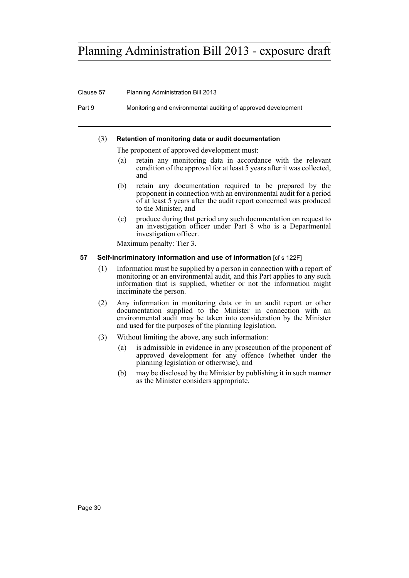### Clause 57 Planning Administration Bill 2013

Part 9 Monitoring and environmental auditing of approved development

### (3) **Retention of monitoring data or audit documentation**

The proponent of approved development must:

- (a) retain any monitoring data in accordance with the relevant condition of the approval for at least 5 years after it was collected, and
- (b) retain any documentation required to be prepared by the proponent in connection with an environmental audit for a period of at least 5 years after the audit report concerned was produced to the Minister, and
- (c) produce during that period any such documentation on request to an investigation officer under Part 8 who is a Departmental investigation officer.

Maximum penalty: Tier 3.

### <span id="page-33-0"></span>**57** Self-incriminatory information and use of information [cf s 122F]

- (1) Information must be supplied by a person in connection with a report of monitoring or an environmental audit, and this Part applies to any such information that is supplied, whether or not the information might incriminate the person.
- (2) Any information in monitoring data or in an audit report or other documentation supplied to the Minister in connection with an environmental audit may be taken into consideration by the Minister and used for the purposes of the planning legislation.
- (3) Without limiting the above, any such information:
	- (a) is admissible in evidence in any prosecution of the proponent of approved development for any offence (whether under the planning legislation or otherwise), and
	- (b) may be disclosed by the Minister by publishing it in such manner as the Minister considers appropriate.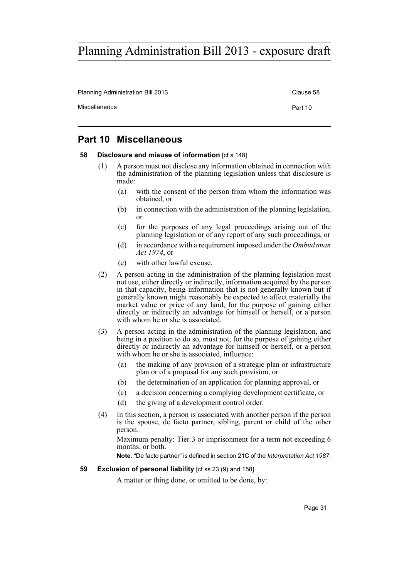Planning Administration Bill 2013 Clause 58

Miscellaneous **Part 10** 

# <span id="page-34-0"></span>**Part 10 Miscellaneous**

### <span id="page-34-1"></span>**58** Disclosure and misuse of information [cf s 148]

- (1) A person must not disclose any information obtained in connection with the administration of the planning legislation unless that disclosure is made:
	- (a) with the consent of the person from whom the information was obtained, or
	- (b) in connection with the administration of the planning legislation, or
	- (c) for the purposes of any legal proceedings arising out of the planning legislation or of any report of any such proceedings, or
	- (d) in accordance with a requirement imposed under the *Ombudsman Act 1974*, or
	- (e) with other lawful excuse.
- (2) A person acting in the administration of the planning legislation must not use, either directly or indirectly, information acquired by the person in that capacity, being information that is not generally known but if generally known might reasonably be expected to affect materially the market value or price of any land, for the purpose of gaining either directly or indirectly an advantage for himself or herself, or a person with whom he or she is associated.
- (3) A person acting in the administration of the planning legislation, and being in a position to do so, must not, for the purpose of gaining either directly or indirectly an advantage for himself or herself, or a person with whom he or she is associated, influence:
	- (a) the making of any provision of a strategic plan or infrastructure plan or of a proposal for any such provision, or
	- (b) the determination of an application for planning approval, or
	- (c) a decision concerning a complying development certificate, or
	- (d) the giving of a development control order.
- (4) In this section, a person is associated with another person if the person is the spouse, de facto partner, sibling, parent or child of the other person.

Maximum penalty: Tier 3 or imprisonment for a term not exceeding 6 months, or both.

**Note.** "De facto partner" is defined in section 21C of the *Interpretation Act 1987*.

### <span id="page-34-2"></span>**59 Exclusion of personal liability** [cf ss 23 (9) and 158]

A matter or thing done, or omitted to be done, by: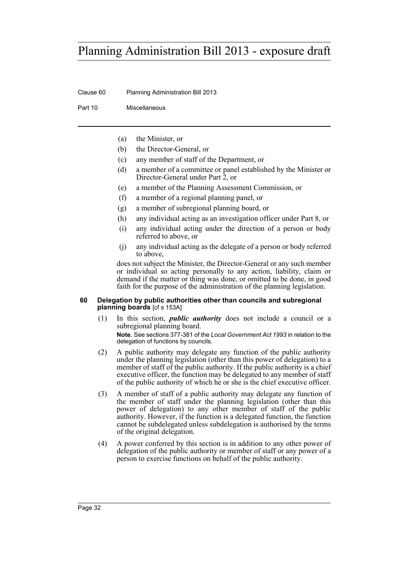Clause 60 Planning Administration Bill 2013

Part 10 Miscellaneous

- (a) the Minister, or
- (b) the Director-General, or
- (c) any member of staff of the Department, or
- (d) a member of a committee or panel established by the Minister or Director-General under Part 2, or
- (e) a member of the Planning Assessment Commission, or
- (f) a member of a regional planning panel, or
- (g) a member of subregional planning board, or
- (h) any individual acting as an investigation officer under Part 8, or
- (i) any individual acting under the direction of a person or body referred to above, or
- (j) any individual acting as the delegate of a person or body referred to above,

does not subject the Minister, the Director-General or any such member or individual so acting personally to any action, liability, claim or demand if the matter or thing was done, or omitted to be done, in good faith for the purpose of the administration of the planning legislation.

### <span id="page-35-0"></span>**60 Delegation by public authorities other than councils and subregional planning boards** [cf s 153A]

- (1) In this section, *public authority* does not include a council or a subregional planning board. **Note.** See sections 377-381 of the *Local Government Act 1993* in relation to the delegation of functions by councils.
- (2) A public authority may delegate any function of the public authority under the planning legislation (other than this power of delegation) to a member of staff of the public authority. If the public authority is a chief executive officer, the function may be delegated to any member of staff of the public authority of which he or she is the chief executive officer.
- (3) A member of staff of a public authority may delegate any function of the member of staff under the planning legislation (other than this power of delegation) to any other member of staff of the public authority. However, if the function is a delegated function, the function cannot be subdelegated unless subdelegation is authorised by the terms of the original delegation.
- (4) A power conferred by this section is in addition to any other power of delegation of the public authority or member of staff or any power of a person to exercise functions on behalf of the public authority.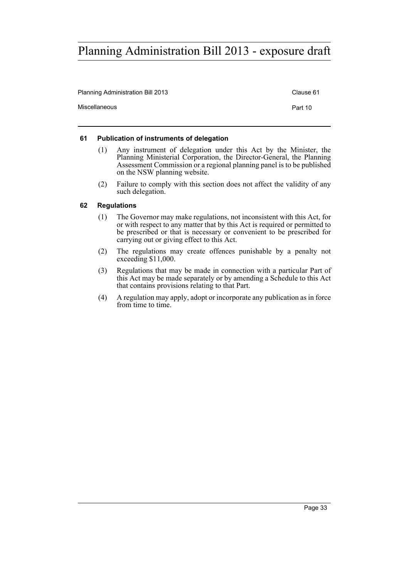| <b>Planning Administration Bill 2013</b> | Clause 61 |
|------------------------------------------|-----------|
| Miscellaneous                            | Part 10   |

### <span id="page-36-0"></span>**61 Publication of instruments of delegation**

- (1) Any instrument of delegation under this Act by the Minister, the Planning Ministerial Corporation, the Director-General, the Planning Assessment Commission or a regional planning panel is to be published on the NSW planning website.
- (2) Failure to comply with this section does not affect the validity of any such delegation.

### <span id="page-36-1"></span>**62 Regulations**

- (1) The Governor may make regulations, not inconsistent with this Act, for or with respect to any matter that by this Act is required or permitted to be prescribed or that is necessary or convenient to be prescribed for carrying out or giving effect to this Act.
- (2) The regulations may create offences punishable by a penalty not exceeding \$11,000.
- (3) Regulations that may be made in connection with a particular Part of this Act may be made separately or by amending a Schedule to this Act that contains provisions relating to that Part.
- (4) A regulation may apply, adopt or incorporate any publication as in force from time to time.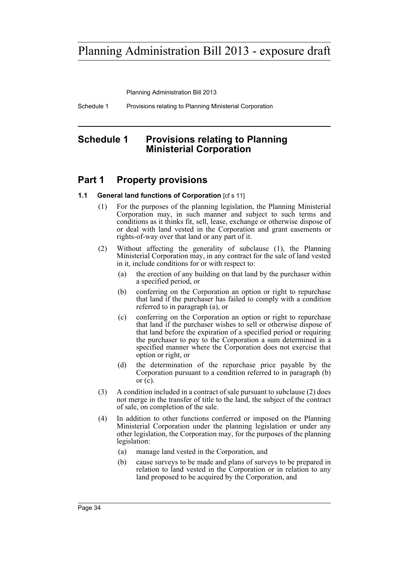Planning Administration Bill 2013

Schedule 1 Provisions relating to Planning Ministerial Corporation

# <span id="page-37-0"></span>**Schedule 1 Provisions relating to Planning Ministerial Corporation**

# **Part 1 Property provisions**

## **1.1 General land functions of Corporation** [cf s 11]

- (1) For the purposes of the planning legislation, the Planning Ministerial Corporation may, in such manner and subject to such terms and conditions as it thinks fit, sell, lease, exchange or otherwise dispose of or deal with land vested in the Corporation and grant easements or rights-of-way over that land or any part of it.
- (2) Without affecting the generality of subclause (1), the Planning Ministerial Corporation may, in any contract for the sale of land vested in it, include conditions for or with respect to:
	- (a) the erection of any building on that land by the purchaser within a specified period, or
	- (b) conferring on the Corporation an option or right to repurchase that land if the purchaser has failed to comply with a condition referred to in paragraph (a), or
	- (c) conferring on the Corporation an option or right to repurchase that land if the purchaser wishes to sell or otherwise dispose of that land before the expiration of a specified period or requiring the purchaser to pay to the Corporation a sum determined in a specified manner where the Corporation does not exercise that option or right, or
	- (d) the determination of the repurchase price payable by the Corporation pursuant to a condition referred to in paragraph (b) or  $(c)$ .
- (3) A condition included in a contract of sale pursuant to subclause (2) does not merge in the transfer of title to the land, the subject of the contract of sale, on completion of the sale.
- (4) In addition to other functions conferred or imposed on the Planning Ministerial Corporation under the planning legislation or under any other legislation, the Corporation may, for the purposes of the planning legislation:
	- (a) manage land vested in the Corporation, and
	- (b) cause surveys to be made and plans of surveys to be prepared in relation to land vested in the Corporation or in relation to any land proposed to be acquired by the Corporation, and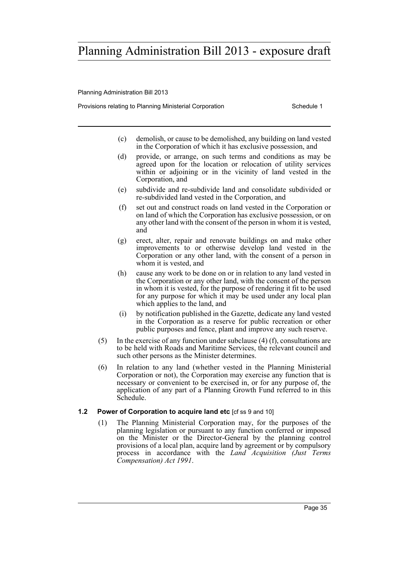Planning Administration Bill 2013

Provisions relating to Planning Ministerial Corporation Theorem Schedule 1

- (c) demolish, or cause to be demolished, any building on land vested in the Corporation of which it has exclusive possession, and
- (d) provide, or arrange, on such terms and conditions as may be agreed upon for the location or relocation of utility services within or adjoining or in the vicinity of land vested in the Corporation, and
- (e) subdivide and re-subdivide land and consolidate subdivided or re-subdivided land vested in the Corporation, and
- (f) set out and construct roads on land vested in the Corporation or on land of which the Corporation has exclusive possession, or on any other land with the consent of the person in whom it is vested, and
- (g) erect, alter, repair and renovate buildings on and make other improvements to or otherwise develop land vested in the Corporation or any other land, with the consent of a person in whom it is vested, and
- (h) cause any work to be done on or in relation to any land vested in the Corporation or any other land, with the consent of the person in whom it is vested, for the purpose of rendering it fit to be used for any purpose for which it may be used under any local plan which applies to the land, and
- (i) by notification published in the Gazette, dedicate any land vested in the Corporation as a reserve for public recreation or other public purposes and fence, plant and improve any such reserve.
- (5) In the exercise of any function under subclause (4) (f), consultations are to be held with Roads and Maritime Services, the relevant council and such other persons as the Minister determines.
- (6) In relation to any land (whether vested in the Planning Ministerial Corporation or not), the Corporation may exercise any function that is necessary or convenient to be exercised in, or for any purpose of, the application of any part of a Planning Growth Fund referred to in this Schedule.
- **1.2 Power of Corporation to acquire land etc** [cf ss 9 and 10]
	- (1) The Planning Ministerial Corporation may, for the purposes of the planning legislation or pursuant to any function conferred or imposed on the Minister or the Director-General by the planning control provisions of a local plan, acquire land by agreement or by compulsory process in accordance with the *Land Acquisition (Just Terms Compensation) Act 1991*.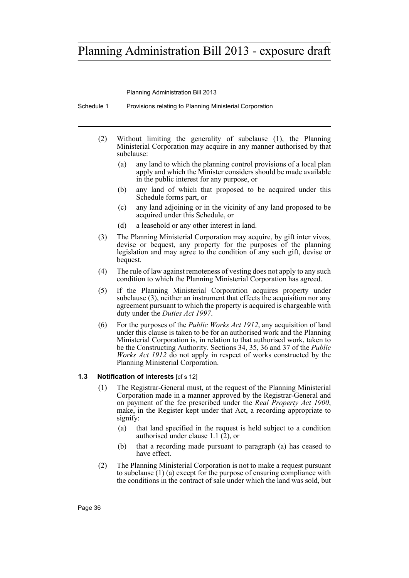Planning Administration Bill 2013

Schedule 1 Provisions relating to Planning Ministerial Corporation

- (2) Without limiting the generality of subclause (1), the Planning Ministerial Corporation may acquire in any manner authorised by that subclause:
	- (a) any land to which the planning control provisions of a local plan apply and which the Minister considers should be made available in the public interest for any purpose, or
	- (b) any land of which that proposed to be acquired under this Schedule forms part, or
	- (c) any land adjoining or in the vicinity of any land proposed to be acquired under this Schedule, or
	- (d) a leasehold or any other interest in land.
- (3) The Planning Ministerial Corporation may acquire, by gift inter vivos, devise or bequest, any property for the purposes of the planning legislation and may agree to the condition of any such gift, devise or bequest.
- (4) The rule of law against remoteness of vesting does not apply to any such condition to which the Planning Ministerial Corporation has agreed.
- (5) If the Planning Ministerial Corporation acquires property under subclause (3), neither an instrument that effects the acquisition nor any agreement pursuant to which the property is acquired is chargeable with duty under the *Duties Act 1997*.
- (6) For the purposes of the *Public Works Act 1912*, any acquisition of land under this clause is taken to be for an authorised work and the Planning Ministerial Corporation is, in relation to that authorised work, taken to be the Constructing Authority. Sections 34, 35, 36 and 37 of the *Public Works Act 1912* do not apply in respect of works constructed by the Planning Ministerial Corporation.

## **1.3 Notification of interests** [cf s 12]

- (1) The Registrar-General must, at the request of the Planning Ministerial Corporation made in a manner approved by the Registrar-General and on payment of the fee prescribed under the *Real Property Act 1900*, make, in the Register kept under that Act, a recording appropriate to signify:
	- (a) that land specified in the request is held subject to a condition authorised under clause 1.1  $(2)$ , or
	- (b) that a recording made pursuant to paragraph (a) has ceased to have effect.
- (2) The Planning Ministerial Corporation is not to make a request pursuant to subclause (1) (a) except for the purpose of ensuring compliance with the conditions in the contract of sale under which the land was sold, but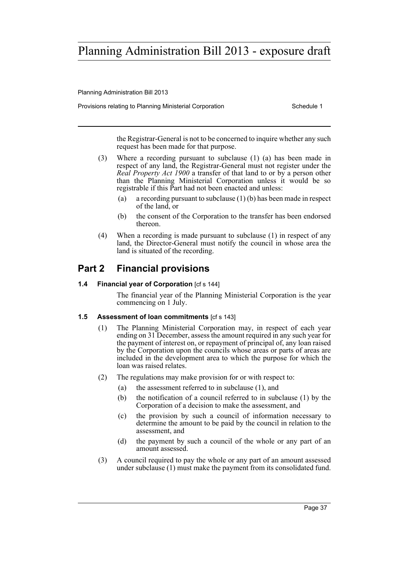Planning Administration Bill 2013

Provisions relating to Planning Ministerial Corporation Theorem Schedule 1

the Registrar-General is not to be concerned to inquire whether any such request has been made for that purpose.

- (3) Where a recording pursuant to subclause (1) (a) has been made in respect of any land, the Registrar-General must not register under the *Real Property Act 1900* a transfer of that land to or by a person other than the Planning Ministerial Corporation unless it would be so registrable if this Part had not been enacted and unless:
	- (a) a recording pursuant to subclause  $(1)(b)$  has been made in respect of the land, or
	- (b) the consent of the Corporation to the transfer has been endorsed thereon.
- (4) When a recording is made pursuant to subclause (1) in respect of any land, the Director-General must notify the council in whose area the land is situated of the recording.

# **Part 2 Financial provisions**

# **1.4 Financial year of Corporation** [cf s 144]

The financial year of the Planning Ministerial Corporation is the year commencing on 1 July.

## **1.5 Assessment of loan commitments** [cf s 143]

- (1) The Planning Ministerial Corporation may, in respect of each year ending on 31 December, assess the amount required in any such year for the payment of interest on, or repayment of principal of, any loan raised by the Corporation upon the councils whose areas or parts of areas are included in the development area to which the purpose for which the loan was raised relates.
- (2) The regulations may make provision for or with respect to:
	- (a) the assessment referred to in subclause (1), and
	- (b) the notification of a council referred to in subclause (1) by the Corporation of a decision to make the assessment, and
	- (c) the provision by such a council of information necessary to determine the amount to be paid by the council in relation to the assessment, and
	- (d) the payment by such a council of the whole or any part of an amount assessed.
- (3) A council required to pay the whole or any part of an amount assessed under subclause (1) must make the payment from its consolidated fund.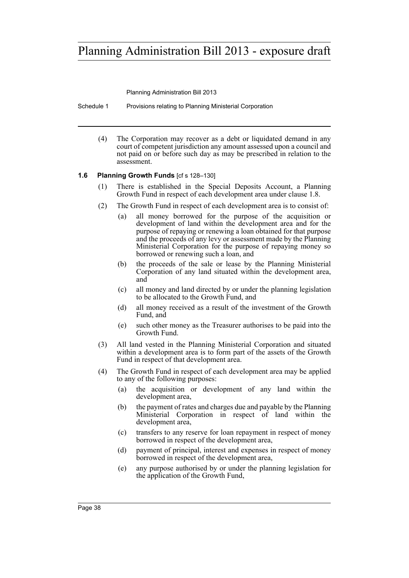Planning Administration Bill 2013

Schedule 1 Provisions relating to Planning Ministerial Corporation

(4) The Corporation may recover as a debt or liquidated demand in any court of competent jurisdiction any amount assessed upon a council and not paid on or before such day as may be prescribed in relation to the assessment.

# **1.6 Planning Growth Funds** [cf s 128–130]

- (1) There is established in the Special Deposits Account, a Planning Growth Fund in respect of each development area under clause 1.8.
- (2) The Growth Fund in respect of each development area is to consist of:
	- (a) all money borrowed for the purpose of the acquisition or development of land within the development area and for the purpose of repaying or renewing a loan obtained for that purpose and the proceeds of any levy or assessment made by the Planning Ministerial Corporation for the purpose of repaying money so borrowed or renewing such a loan, and
	- (b) the proceeds of the sale or lease by the Planning Ministerial Corporation of any land situated within the development area, and
	- (c) all money and land directed by or under the planning legislation to be allocated to the Growth Fund, and
	- (d) all money received as a result of the investment of the Growth Fund, and
	- (e) such other money as the Treasurer authorises to be paid into the Growth Fund.
- (3) All land vested in the Planning Ministerial Corporation and situated within a development area is to form part of the assets of the Growth Fund in respect of that development area.
- (4) The Growth Fund in respect of each development area may be applied to any of the following purposes:
	- (a) the acquisition or development of any land within the development area,
	- (b) the payment of rates and charges due and payable by the Planning Ministerial Corporation in respect of land within the development area,
	- (c) transfers to any reserve for loan repayment in respect of money borrowed in respect of the development area,
	- (d) payment of principal, interest and expenses in respect of money borrowed in respect of the development area,
	- (e) any purpose authorised by or under the planning legislation for the application of the Growth Fund,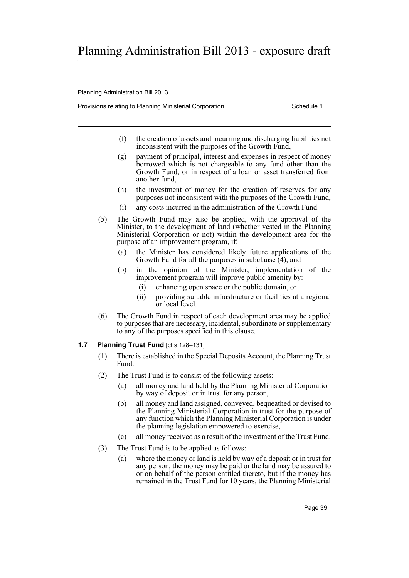Planning Administration Bill 2013

Provisions relating to Planning Ministerial Corporation Theorem Schedule 1

- (f) the creation of assets and incurring and discharging liabilities not inconsistent with the purposes of the Growth Fund,
- (g) payment of principal, interest and expenses in respect of money borrowed which is not chargeable to any fund other than the Growth Fund, or in respect of a loan or asset transferred from another fund,
- (h) the investment of money for the creation of reserves for any purposes not inconsistent with the purposes of the Growth Fund,
- (i) any costs incurred in the administration of the Growth Fund.
- (5) The Growth Fund may also be applied, with the approval of the Minister, to the development of land (whether vested in the Planning Ministerial Corporation or not) within the development area for the purpose of an improvement program, if:
	- (a) the Minister has considered likely future applications of the Growth Fund for all the purposes in subclause (4), and
	- (b) in the opinion of the Minister, implementation of the improvement program will improve public amenity by:
		- (i) enhancing open space or the public domain, or
		- (ii) providing suitable infrastructure or facilities at a regional or local level.
- (6) The Growth Fund in respect of each development area may be applied to purposes that are necessary, incidental, subordinate or supplementary to any of the purposes specified in this clause.

## **1.7 Planning Trust Fund** [cf s 128–131]

- (1) There is established in the Special Deposits Account, the Planning Trust Fund.
- (2) The Trust Fund is to consist of the following assets:
	- (a) all money and land held by the Planning Ministerial Corporation by way of deposit or in trust for any person,
	- (b) all money and land assigned, conveyed, bequeathed or devised to the Planning Ministerial Corporation in trust for the purpose of any function which the Planning Ministerial Corporation is under the planning legislation empowered to exercise,
	- (c) all money received as a result of the investment of the Trust Fund.
- (3) The Trust Fund is to be applied as follows:
	- (a) where the money or land is held by way of a deposit or in trust for any person, the money may be paid or the land may be assured to or on behalf of the person entitled thereto, but if the money has remained in the Trust Fund for 10 years, the Planning Ministerial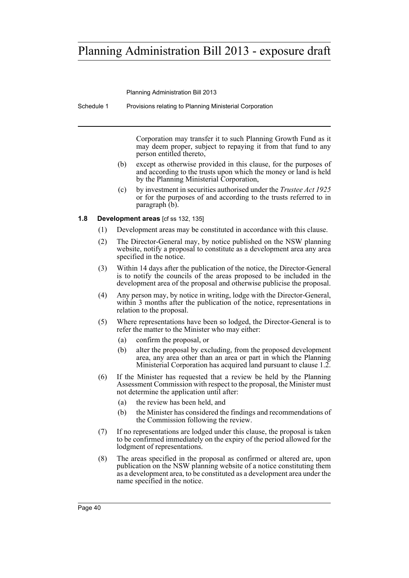Planning Administration Bill 2013

Schedule 1 Provisions relating to Planning Ministerial Corporation

Corporation may transfer it to such Planning Growth Fund as it may deem proper, subject to repaying it from that fund to any person entitled thereto,

- (b) except as otherwise provided in this clause, for the purposes of and according to the trusts upon which the money or land is held by the Planning Ministerial Corporation,
- (c) by investment in securities authorised under the *Trustee Act 1925* or for the purposes of and according to the trusts referred to in paragraph (b).

### **1.8 Development areas** [cf ss 132, 135]

- (1) Development areas may be constituted in accordance with this clause.
- (2) The Director-General may, by notice published on the NSW planning website, notify a proposal to constitute as a development area any area specified in the notice.
- (3) Within 14 days after the publication of the notice, the Director-General is to notify the councils of the areas proposed to be included in the development area of the proposal and otherwise publicise the proposal.
- (4) Any person may, by notice in writing, lodge with the Director-General, within 3 months after the publication of the notice, representations in relation to the proposal.
- (5) Where representations have been so lodged, the Director-General is to refer the matter to the Minister who may either:
	- (a) confirm the proposal, or
	- (b) alter the proposal by excluding, from the proposed development area, any area other than an area or part in which the Planning Ministerial Corporation has acquired land pursuant to clause 1.2.
- (6) If the Minister has requested that a review be held by the Planning Assessment Commission with respect to the proposal, the Minister must not determine the application until after:
	- (a) the review has been held, and
	- (b) the Minister has considered the findings and recommendations of the Commission following the review.
- (7) If no representations are lodged under this clause, the proposal is taken to be confirmed immediately on the expiry of the period allowed for the lodgment of representations.
- (8) The areas specified in the proposal as confirmed or altered are, upon publication on the NSW planning website of a notice constituting them as a development area, to be constituted as a development area under the name specified in the notice.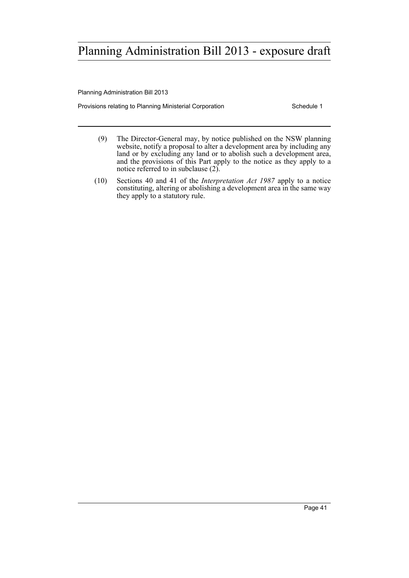Planning Administration Bill 2013

Provisions relating to Planning Ministerial Corporation **Schedule 1** Schedule 1

- (9) The Director-General may, by notice published on the NSW planning website, notify a proposal to alter a development area by including any land or by excluding any land or to abolish such a development area, and the provisions of this Part apply to the notice as they apply to a notice referred to in subclause (2).
- (10) Sections 40 and 41 of the *Interpretation Act 1987* apply to a notice constituting, altering or abolishing a development area in the same way they apply to a statutory rule.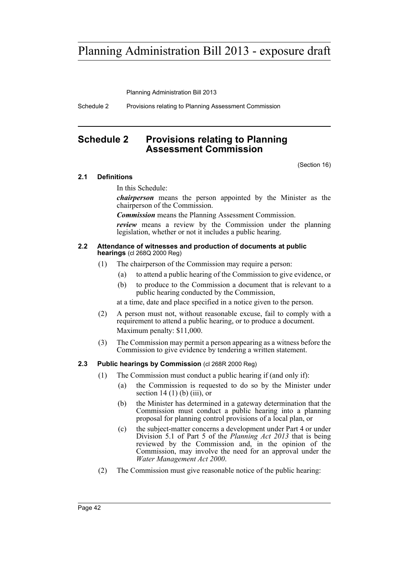Planning Administration Bill 2013

Schedule 2 Provisions relating to Planning Assessment Commission

# <span id="page-45-0"></span>**Schedule 2 Provisions relating to Planning Assessment Commission**

(Section 16)

## **2.1 Definitions**

In this Schedule:

*chairperson* means the person appointed by the Minister as the chairperson of the Commission.

*Commission* means the Planning Assessment Commission.

*review* means a review by the Commission under the planning legislation, whether or not it includes a public hearing.

### **2.2 Attendance of witnesses and production of documents at public hearings** (cl 268Q 2000 Reg)

- (1) The chairperson of the Commission may require a person:
	- (a) to attend a public hearing of the Commission to give evidence, or
	- (b) to produce to the Commission a document that is relevant to a public hearing conducted by the Commission,

at a time, date and place specified in a notice given to the person.

- (2) A person must not, without reasonable excuse, fail to comply with a requirement to attend a public hearing, or to produce a document. Maximum penalty: \$11,000.
- (3) The Commission may permit a person appearing as a witness before the Commission to give evidence by tendering a written statement.

## **2.3 Public hearings by Commission** (cl 268R 2000 Reg)

- (1) The Commission must conduct a public hearing if (and only if):
	- (a) the Commission is requested to do so by the Minister under section  $14(1)$  (b) (iii), or
	- (b) the Minister has determined in a gateway determination that the Commission must conduct a public hearing into a planning proposal for planning control provisions of a local plan, or
	- (c) the subject-matter concerns a development under Part 4 or under Division 5.1 of Part 5 of the *Planning Act 2013* that is being reviewed by the Commission and, in the opinion of the Commission, may involve the need for an approval under the *Water Management Act 2000*.
- (2) The Commission must give reasonable notice of the public hearing: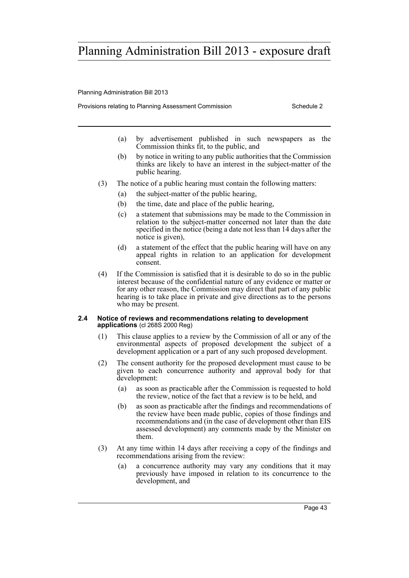Planning Administration Bill 2013

Provisions relating to Planning Assessment Commission Schedule 2

- (a) by advertisement published in such newspapers as the Commission thinks fit, to the public, and
- (b) by notice in writing to any public authorities that the Commission thinks are likely to have an interest in the subject-matter of the public hearing.
- (3) The notice of a public hearing must contain the following matters:
	- (a) the subject-matter of the public hearing,
	- (b) the time, date and place of the public hearing,
	- (c) a statement that submissions may be made to the Commission in relation to the subject-matter concerned not later than the date specified in the notice (being a date not less than 14 days after the notice is given),
	- (d) a statement of the effect that the public hearing will have on any appeal rights in relation to an application for development consent.
- (4) If the Commission is satisfied that it is desirable to do so in the public interest because of the confidential nature of any evidence or matter or for any other reason, the Commission may direct that part of any public hearing is to take place in private and give directions as to the persons who may be present.

### **2.4 Notice of reviews and recommendations relating to development applications** (cl 268S 2000 Reg)

- (1) This clause applies to a review by the Commission of all or any of the environmental aspects of proposed development the subject of a development application or a part of any such proposed development.
- (2) The consent authority for the proposed development must cause to be given to each concurrence authority and approval body for that development:
	- (a) as soon as practicable after the Commission is requested to hold the review, notice of the fact that a review is to be held, and
	- (b) as soon as practicable after the findings and recommendations of the review have been made public, copies of those findings and recommendations and (in the case of development other than EIS assessed development) any comments made by the Minister on them.
- (3) At any time within 14 days after receiving a copy of the findings and recommendations arising from the review:
	- (a) a concurrence authority may vary any conditions that it may previously have imposed in relation to its concurrence to the development, and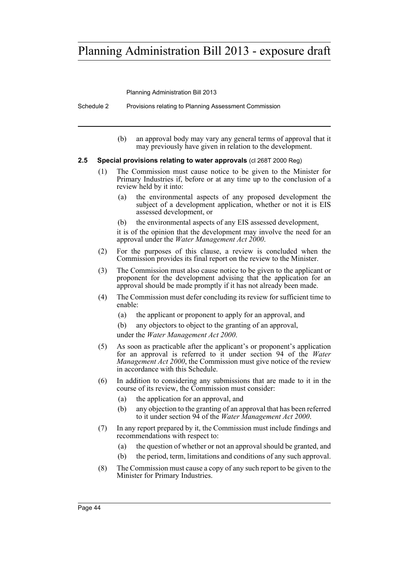Planning Administration Bill 2013

Schedule 2 Provisions relating to Planning Assessment Commission

(b) an approval body may vary any general terms of approval that it may previously have given in relation to the development.

### **2.5 Special provisions relating to water approvals** (cl 268T 2000 Reg)

- (1) The Commission must cause notice to be given to the Minister for Primary Industries if, before or at any time up to the conclusion of a review held by it into:
	- (a) the environmental aspects of any proposed development the subject of a development application, whether or not it is EIS assessed development, or
	- (b) the environmental aspects of any EIS assessed development,

it is of the opinion that the development may involve the need for an approval under the *Water Management Act 2000*.

- (2) For the purposes of this clause, a review is concluded when the Commission provides its final report on the review to the Minister.
- (3) The Commission must also cause notice to be given to the applicant or proponent for the development advising that the application for an approval should be made promptly if it has not already been made.
- (4) The Commission must defer concluding its review for sufficient time to enable:
	- (a) the applicant or proponent to apply for an approval, and
	- (b) any objectors to object to the granting of an approval,
	- under the *Water Management Act 2000*.
- (5) As soon as practicable after the applicant's or proponent's application for an approval is referred to it under section 94 of the *Water Management Act 2000*, the Commission must give notice of the review in accordance with this Schedule.
- (6) In addition to considering any submissions that are made to it in the course of its review, the Commission must consider:
	- (a) the application for an approval, and
	- (b) any objection to the granting of an approval that has been referred to it under section 94 of the *Water Management Act 2000*.
- (7) In any report prepared by it, the Commission must include findings and recommendations with respect to:
	- (a) the question of whether or not an approval should be granted, and
	- (b) the period, term, limitations and conditions of any such approval.
- (8) The Commission must cause a copy of any such report to be given to the Minister for Primary Industries.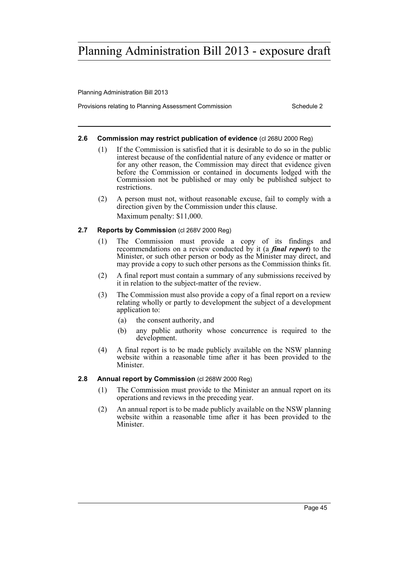Planning Administration Bill 2013

Provisions relating to Planning Assessment Commission Schedule 2

### **2.6 Commission may restrict publication of evidence** (cl 268U 2000 Reg)

- (1) If the Commission is satisfied that it is desirable to do so in the public interest because of the confidential nature of any evidence or matter or for any other reason, the Commission may direct that evidence given before the Commission or contained in documents lodged with the Commission not be published or may only be published subject to restrictions.
- (2) A person must not, without reasonable excuse, fail to comply with a direction given by the Commission under this clause. Maximum penalty: \$11,000.

### **2.7 Reports by Commission** (cl 268V 2000 Reg)

- (1) The Commission must provide a copy of its findings and recommendations on a review conducted by it (a *final report*) to the Minister, or such other person or body as the Minister may direct, and may provide a copy to such other persons as the Commission thinks fit.
- (2) A final report must contain a summary of any submissions received by it in relation to the subject-matter of the review.
- (3) The Commission must also provide a copy of a final report on a review relating wholly or partly to development the subject of a development application to:
	- (a) the consent authority, and
	- (b) any public authority whose concurrence is required to the development.
- (4) A final report is to be made publicly available on the NSW planning website within a reasonable time after it has been provided to the Minister.

## **2.8 Annual report by Commission** (cl 268W 2000 Reg)

- (1) The Commission must provide to the Minister an annual report on its operations and reviews in the preceding year.
- (2) An annual report is to be made publicly available on the NSW planning website within a reasonable time after it has been provided to the **Minister**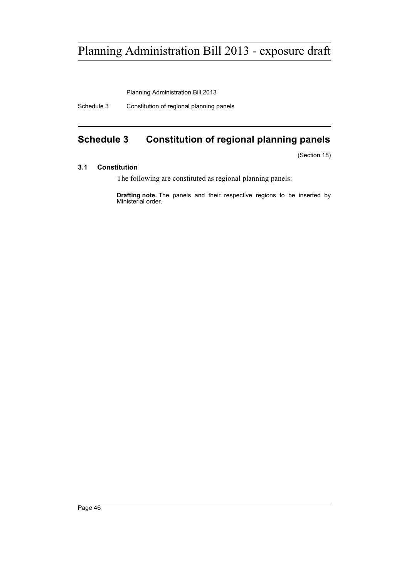Planning Administration Bill 2013

Schedule 3 Constitution of regional planning panels

# <span id="page-49-0"></span>**Schedule 3 Constitution of regional planning panels**

(Section 18)

### **3.1 Constitution**

The following are constituted as regional planning panels:

**Drafting note.** The panels and their respective regions to be inserted by Ministerial order.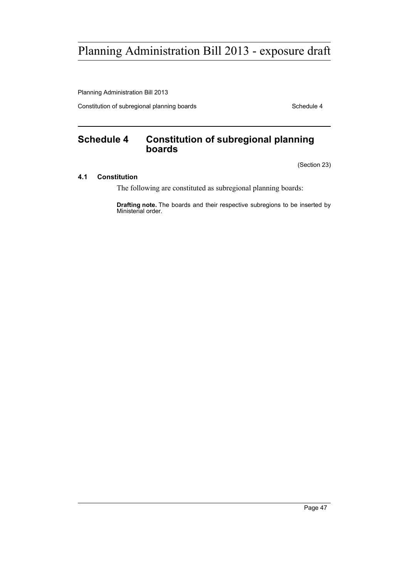Planning Administration Bill 2013

Constitution of subregional planning boards **Schedule 4** Schedule 4

# <span id="page-50-0"></span>**Schedule 4 Constitution of subregional planning boards**

(Section 23)

# **4.1 Constitution**

The following are constituted as subregional planning boards:

**Drafting note.** The boards and their respective subregions to be inserted by Ministerial order.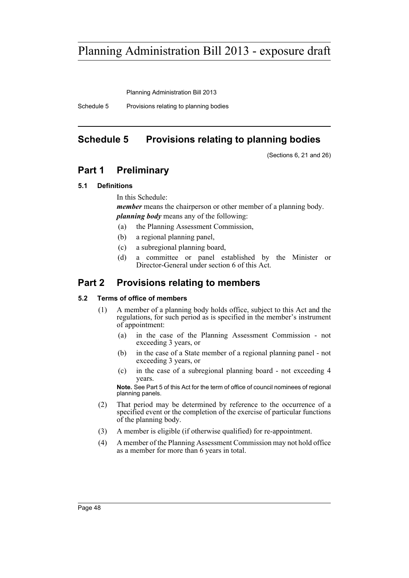Planning Administration Bill 2013

Schedule 5 Provisions relating to planning bodies

# <span id="page-51-0"></span>**Schedule 5 Provisions relating to planning bodies**

(Sections 6, 21 and 26)

# **Part 1 Preliminary**

# **5.1 Definitions**

In this Schedule:

*member* means the chairperson or other member of a planning body. *planning body* means any of the following:

(a) the Planning Assessment Commission,

- (b) a regional planning panel,
- (c) a subregional planning board,
- (d) a committee or panel established by the Minister or Director-General under section 6 of this Act.

# **Part 2 Provisions relating to members**

# **5.2 Terms of office of members**

- (1) A member of a planning body holds office, subject to this Act and the regulations, for such period as is specified in the member's instrument of appointment:
	- (a) in the case of the Planning Assessment Commission not exceeding 3 years, or
	- (b) in the case of a State member of a regional planning panel not exceeding 3 years, or
	- (c) in the case of a subregional planning board not exceeding 4 years.

**Note.** See Part 5 of this Act for the term of office of council nominees of regional planning panels.

- (2) That period may be determined by reference to the occurrence of a specified event or the completion of the exercise of particular functions of the planning body.
- (3) A member is eligible (if otherwise qualified) for re-appointment.
- (4) A member of the Planning Assessment Commission may not hold office as a member for more than 6 years in total.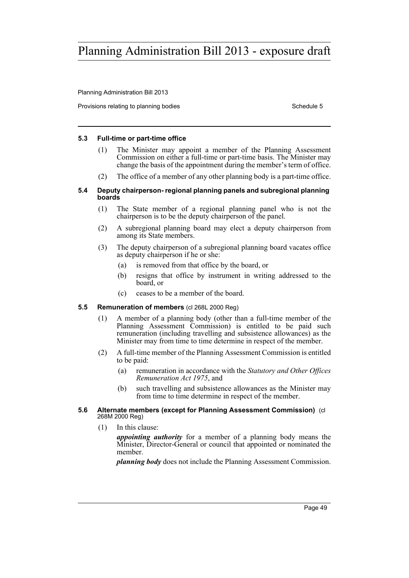Planning Administration Bill 2013

Provisions relating to planning bodies Schedule 5 and Schedule 5 and Schedule 5 and Schedule 5 and Schedule 5

### **5.3 Full-time or part-time office**

- (1) The Minister may appoint a member of the Planning Assessment Commission on either a full-time or part-time basis. The Minister may change the basis of the appointment during the member's term of office.
- (2) The office of a member of any other planning body is a part-time office.

### **5.4 Deputy chairperson- regional planning panels and subregional planning boards**

- (1) The State member of a regional planning panel who is not the chairperson is to be the deputy chairperson of the panel.
- (2) A subregional planning board may elect a deputy chairperson from among its State members.
- (3) The deputy chairperson of a subregional planning board vacates office as deputy chairperson if he or she:
	- (a) is removed from that office by the board, or
	- (b) resigns that office by instrument in writing addressed to the board, or
	- (c) ceases to be a member of the board.

## **5.5 Remuneration of members** (cl 268L 2000 Reg)

- (1) A member of a planning body (other than a full-time member of the Planning Assessment Commission) is entitled to be paid such remuneration (including travelling and subsistence allowances) as the Minister may from time to time determine in respect of the member.
- (2) A full-time member of the Planning Assessment Commission is entitled to be paid:
	- (a) remuneration in accordance with the *Statutory and Other Offices Remuneration Act 1975*, and
	- (b) such travelling and subsistence allowances as the Minister may from time to time determine in respect of the member.

#### **5.6 Alternate members (except for Planning Assessment Commission)** (cl 268M 2000 Reg)

(1) In this clause:

*appointing authority* for a member of a planning body means the Minister, Director-General or council that appointed or nominated the member.

*planning body* does not include the Planning Assessment Commission.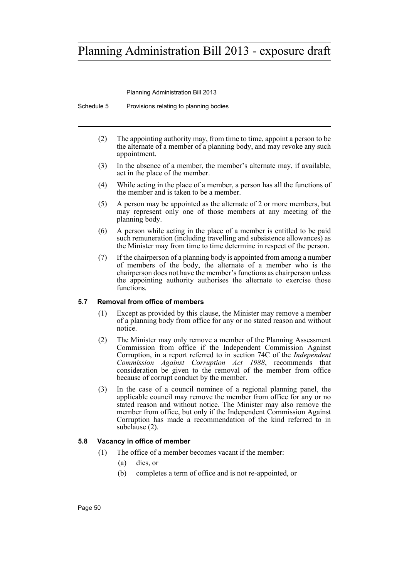Planning Administration Bill 2013

Schedule 5 Provisions relating to planning bodies

- (2) The appointing authority may, from time to time, appoint a person to be the alternate of a member of a planning body, and may revoke any such appointment.
- (3) In the absence of a member, the member's alternate may, if available, act in the place of the member.
- (4) While acting in the place of a member, a person has all the functions of the member and is taken to be a member.
- (5) A person may be appointed as the alternate of 2 or more members, but may represent only one of those members at any meeting of the planning body.
- (6) A person while acting in the place of a member is entitled to be paid such remuneration (including travelling and subsistence allowances) as the Minister may from time to time determine in respect of the person.
- (7) If the chairperson of a planning body is appointed from among a number of members of the body, the alternate of a member who is the chairperson does not have the member's functions as chairperson unless the appointing authority authorises the alternate to exercise those functions.

### **5.7 Removal from office of members**

- (1) Except as provided by this clause, the Minister may remove a member of a planning body from office for any or no stated reason and without notice.
- (2) The Minister may only remove a member of the Planning Assessment Commission from office if the Independent Commission Against Corruption, in a report referred to in section 74C of the *Independent Commission Against Corruption Act 1988*, recommends that consideration be given to the removal of the member from office because of corrupt conduct by the member.
- (3) In the case of a council nominee of a regional planning panel, the applicable council may remove the member from office for any or no stated reason and without notice. The Minister may also remove the member from office, but only if the Independent Commission Against Corruption has made a recommendation of the kind referred to in subclause (2).

## **5.8 Vacancy in office of member**

- (1) The office of a member becomes vacant if the member:
	- (a) dies, or
	- (b) completes a term of office and is not re-appointed, or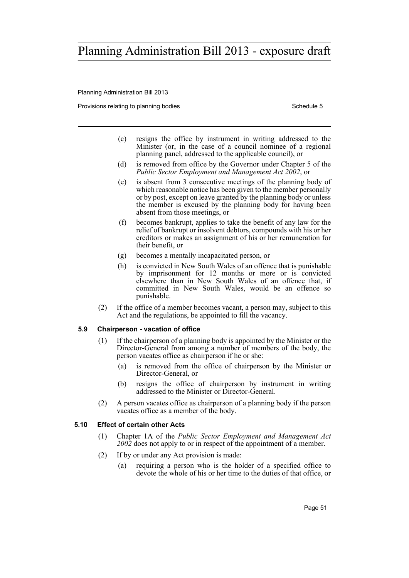Planning Administration Bill 2013

Provisions relating to planning bodies Schedule 5 Schedule 5

- (c) resigns the office by instrument in writing addressed to the Minister (or, in the case of a council nominee of a regional planning panel, addressed to the applicable council), or
- (d) is removed from office by the Governor under Chapter 5 of the *Public Sector Employment and Management Act 2002*, or
- (e) is absent from 3 consecutive meetings of the planning body of which reasonable notice has been given to the member personally or by post, except on leave granted by the planning body or unless the member is excused by the planning body for having been absent from those meetings, or
- (f) becomes bankrupt, applies to take the benefit of any law for the relief of bankrupt or insolvent debtors, compounds with his or her creditors or makes an assignment of his or her remuneration for their benefit, or
- (g) becomes a mentally incapacitated person, or
- (h) is convicted in New South Wales of an offence that is punishable by imprisonment for 12 months or more or is convicted elsewhere than in New South Wales of an offence that, if committed in New South Wales, would be an offence so punishable.
- (2) If the office of a member becomes vacant, a person may, subject to this Act and the regulations, be appointed to fill the vacancy.

## **5.9 Chairperson - vacation of office**

- (1) If the chairperson of a planning body is appointed by the Minister or the Director-General from among a number of members of the body, the person vacates office as chairperson if he or she:
	- (a) is removed from the office of chairperson by the Minister or Director-General, or
	- (b) resigns the office of chairperson by instrument in writing addressed to the Minister or Director-General.
- (2) A person vacates office as chairperson of a planning body if the person vacates office as a member of the body.

## **5.10 Effect of certain other Acts**

- (1) Chapter 1A of the *Public Sector Employment and Management Act 2002* does not apply to or in respect of the appointment of a member.
- (2) If by or under any Act provision is made:
	- (a) requiring a person who is the holder of a specified office to devote the whole of his or her time to the duties of that office, or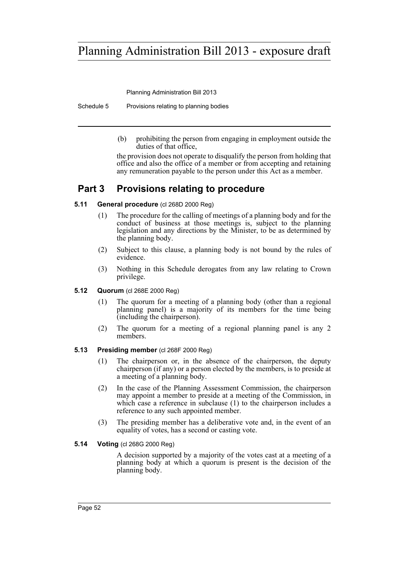Planning Administration Bill 2013

Schedule 5 Provisions relating to planning bodies

(b) prohibiting the person from engaging in employment outside the duties of that office,

the provision does not operate to disqualify the person from holding that office and also the office of a member or from accepting and retaining any remuneration payable to the person under this Act as a member.

# **Part 3 Provisions relating to procedure**

# **5.11 General procedure** (cl 268D 2000 Reg)

- (1) The procedure for the calling of meetings of a planning body and for the conduct of business at those meetings is, subject to the planning legislation and any directions by the Minister, to be as determined by the planning body.
- (2) Subject to this clause, a planning body is not bound by the rules of evidence.
- (3) Nothing in this Schedule derogates from any law relating to Crown privilege.

## **5.12 Quorum** (cl 268E 2000 Reg)

- (1) The quorum for a meeting of a planning body (other than a regional planning panel) is a majority of its members for the time being (including the chairperson).
- (2) The quorum for a meeting of a regional planning panel is any 2 members.

# **5.13 Presiding member** (cl 268F 2000 Reg)

- (1) The chairperson or, in the absence of the chairperson, the deputy chairperson (if any) or a person elected by the members, is to preside at a meeting of a planning body.
- (2) In the case of the Planning Assessment Commission, the chairperson may appoint a member to preside at a meeting of the Commission, in which case a reference in subclause (1) to the chairperson includes a reference to any such appointed member.
- (3) The presiding member has a deliberative vote and, in the event of an equality of votes, has a second or casting vote.

# **5.14 Voting** (cl 268G 2000 Reg)

A decision supported by a majority of the votes cast at a meeting of a planning body at which a quorum is present is the decision of the planning body.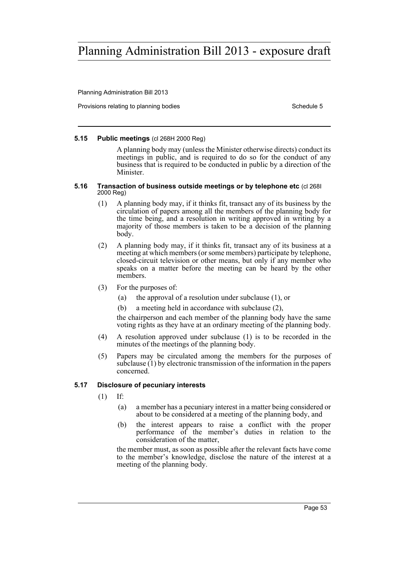Planning Administration Bill 2013

Provisions relating to planning bodies Schedule 5 and Schedule 5 and Schedule 5 and Schedule 5 and Schedule 5

### **5.15 Public meetings** (cl 268H 2000 Reg)

A planning body may (unless the Minister otherwise directs) conduct its meetings in public, and is required to do so for the conduct of any business that is required to be conducted in public by a direction of the **Minister** 

#### **5.16 Transaction of business outside meetings or by telephone etc** (cl 268I 2000 Reg)

- (1) A planning body may, if it thinks fit, transact any of its business by the circulation of papers among all the members of the planning body for the time being, and a resolution in writing approved in writing by a majority of those members is taken to be a decision of the planning body.
- (2) A planning body may, if it thinks fit, transact any of its business at a meeting at which members (or some members) participate by telephone, closed-circuit television or other means, but only if any member who speaks on a matter before the meeting can be heard by the other members.
- (3) For the purposes of:
	- (a) the approval of a resolution under subclause (1), or
	- (b) a meeting held in accordance with subclause (2),

the chairperson and each member of the planning body have the same voting rights as they have at an ordinary meeting of the planning body.

- (4) A resolution approved under subclause (1) is to be recorded in the minutes of the meetings of the planning body.
- (5) Papers may be circulated among the members for the purposes of subclause (1) by electronic transmission of the information in the papers concerned.

## **5.17 Disclosure of pecuniary interests**

- (1) If:
	- (a) a member has a pecuniary interest in a matter being considered or about to be considered at a meeting of the planning body, and
	- (b) the interest appears to raise a conflict with the proper performance  $\dot{0}$  the member's duties in relation to the consideration of the matter,

the member must, as soon as possible after the relevant facts have come to the member's knowledge, disclose the nature of the interest at a meeting of the planning body.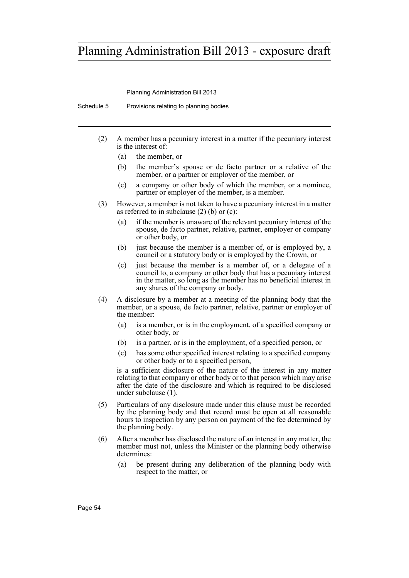Planning Administration Bill 2013

Schedule 5 Provisions relating to planning bodies

- (2) A member has a pecuniary interest in a matter if the pecuniary interest is the interest of:
	- (a) the member, or
	- (b) the member's spouse or de facto partner or a relative of the member, or a partner or employer of the member, or
	- (c) a company or other body of which the member, or a nominee, partner or employer of the member, is a member.
- (3) However, a member is not taken to have a pecuniary interest in a matter as referred to in subclause  $(2)$  (b) or  $(c)$ :
	- (a) if the member is unaware of the relevant pecuniary interest of the spouse, de facto partner, relative, partner, employer or company or other body, or
	- (b) just because the member is a member of, or is employed by, a council or a statutory body or is employed by the Crown, or
	- (c) just because the member is a member of, or a delegate of a council to, a company or other body that has a pecuniary interest in the matter, so long as the member has no beneficial interest in any shares of the company or body.
- (4) A disclosure by a member at a meeting of the planning body that the member, or a spouse, de facto partner, relative, partner or employer of the member:
	- (a) is a member, or is in the employment, of a specified company or other body, or
	- (b) is a partner, or is in the employment, of a specified person, or
	- (c) has some other specified interest relating to a specified company or other body or to a specified person,

is a sufficient disclosure of the nature of the interest in any matter relating to that company or other body or to that person which may arise after the date of the disclosure and which is required to be disclosed under subclause (1).

- (5) Particulars of any disclosure made under this clause must be recorded by the planning body and that record must be open at all reasonable hours to inspection by any person on payment of the fee determined by the planning body.
- (6) After a member has disclosed the nature of an interest in any matter, the member must not, unless the Minister or the planning body otherwise determines:
	- (a) be present during any deliberation of the planning body with respect to the matter, or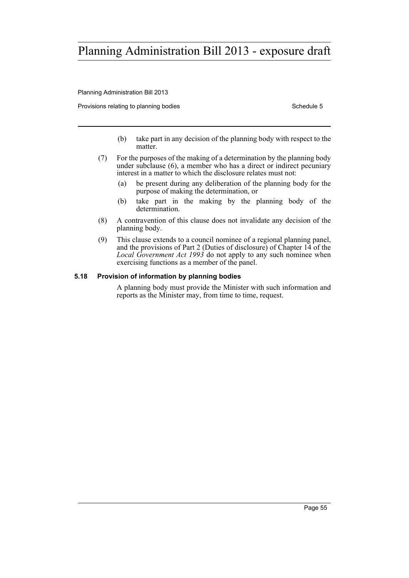Planning Administration Bill 2013

Provisions relating to planning bodies **Schedule 5** Schedule 5

- (b) take part in any decision of the planning body with respect to the matter.
- (7) For the purposes of the making of a determination by the planning body under subclause (6), a member who has a direct or indirect pecuniary interest in a matter to which the disclosure relates must not:
	- (a) be present during any deliberation of the planning body for the purpose of making the determination, or
	- (b) take part in the making by the planning body of the determination.
- (8) A contravention of this clause does not invalidate any decision of the planning body.
- (9) This clause extends to a council nominee of a regional planning panel, and the provisions of Part 2 (Duties of disclosure) of Chapter 14 of the *Local Government Act 1993* do not apply to any such nominee when exercising functions as a member of the panel.

## **5.18 Provision of information by planning bodies**

A planning body must provide the Minister with such information and reports as the Minister may, from time to time, request.